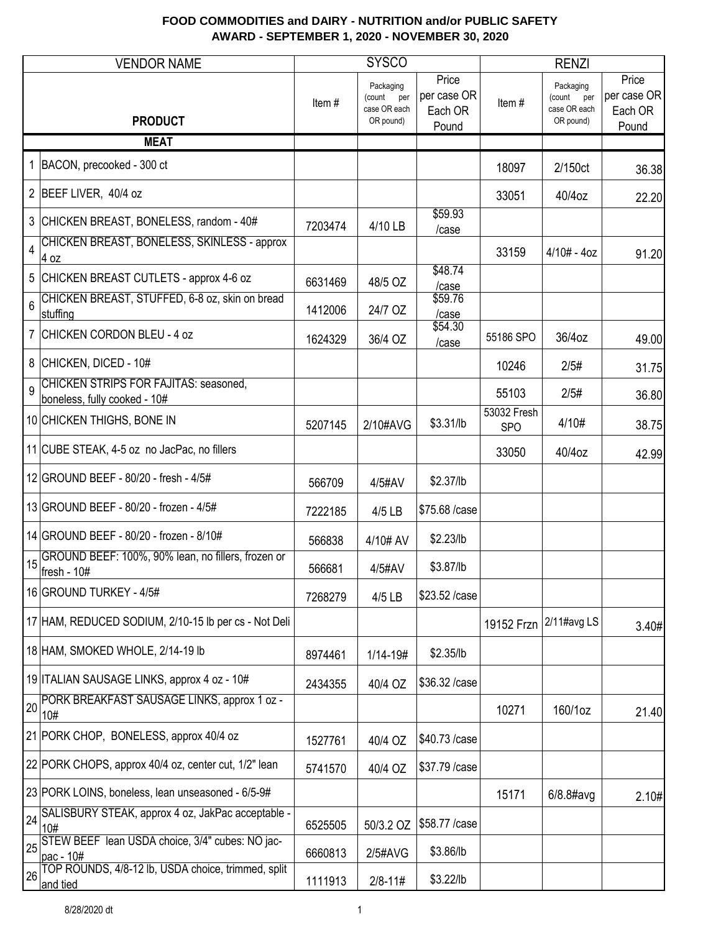|                | <b>VENDOR NAME</b>                                                    |         | <b>SYSCO</b>                                         |                                          | <b>RENZI</b>              |                                                         |                                          |
|----------------|-----------------------------------------------------------------------|---------|------------------------------------------------------|------------------------------------------|---------------------------|---------------------------------------------------------|------------------------------------------|
|                | <b>PRODUCT</b>                                                        | Item#   | Packaging<br>(count per<br>case OR each<br>OR pound) | Price<br>per case OR<br>Each OR<br>Pound | Item#                     | Packaging<br>(count<br>per<br>case OR each<br>OR pound) | Price<br>per case OR<br>Each OR<br>Pound |
|                | <b>MEAT</b>                                                           |         |                                                      |                                          |                           |                                                         |                                          |
| $\mathbf{1}$   | BACON, precooked - 300 ct                                             |         |                                                      |                                          | 18097                     | 2/150ct                                                 | 36.38                                    |
|                | 2 BEEF LIVER, 40/4 oz                                                 |         |                                                      |                                          | 33051                     | 40/4oz                                                  | 22.20                                    |
|                | 3 CHICKEN BREAST, BONELESS, random - 40#                              | 7203474 | 4/10 LB                                              | \$59.93<br>/case                         |                           |                                                         |                                          |
| $\overline{4}$ | CHICKEN BREAST, BONELESS, SKINLESS - approx<br>4 oz                   |         |                                                      |                                          | 33159                     | $4/10# - 4oz$                                           | 91.20                                    |
|                | 5 CHICKEN BREAST CUTLETS - approx 4-6 oz                              | 6631469 | 48/5 OZ                                              | \$48.74<br>/case                         |                           |                                                         |                                          |
| 6              | CHICKEN BREAST, STUFFED, 6-8 oz, skin on bread<br>stuffing            | 1412006 | 24/7 OZ                                              | \$59.76<br>/case                         |                           |                                                         |                                          |
|                | 7 CHICKEN CORDON BLEU - 4 oz                                          | 1624329 | 36/4 OZ                                              | \$54.30<br>/case                         | 55186 SPO                 | 36/4oz                                                  | 49.00                                    |
|                | 8 CHICKEN, DICED - 10#                                                |         |                                                      |                                          | 10246                     | 2/5#                                                    | 31.75                                    |
| 9              | CHICKEN STRIPS FOR FAJITAS: seasoned,<br>boneless, fully cooked - 10# |         |                                                      |                                          | 55103                     | 2/5#                                                    | 36.80                                    |
|                | 10 CHICKEN THIGHS, BONE IN                                            | 5207145 | 2/10#AVG                                             | \$3.31/lb                                | 53032 Fresh<br><b>SPO</b> | 4/10#                                                   | 38.75                                    |
|                | 11 CUBE STEAK, 4-5 oz no JacPac, no fillers                           |         |                                                      |                                          | 33050                     | 40/4oz                                                  | 42.99                                    |
|                | 12 GROUND BEEF - 80/20 - fresh - 4/5#                                 | 566709  | 4/5#AV                                               | \$2.37/lb                                |                           |                                                         |                                          |
|                | 13 GROUND BEEF - 80/20 - frozen - 4/5#                                | 7222185 | 4/5 LB                                               | \$75.68 /case                            |                           |                                                         |                                          |
|                | 14 GROUND BEEF - 80/20 - frozen - 8/10#                               | 566838  | 4/10# AV                                             | \$2.23/lb                                |                           |                                                         |                                          |
| 15             | GROUND BEEF: 100%, 90% lean, no fillers, frozen or<br>fresh - 10#     | 566681  | 4/5#AV                                               | \$3.87/lb                                |                           |                                                         |                                          |
|                | 16 GROUND TURKEY - 4/5#                                               | 7268279 | 4/5 LB                                               | \$23.52 /case                            |                           |                                                         |                                          |
|                | 17 HAM, REDUCED SODIUM, 2/10-15 lb per cs - Not Deli                  |         |                                                      |                                          | 19152 Frzn                | 2/11#avg LS                                             | 3.40#                                    |
|                | 18 HAM, SMOKED WHOLE, 2/14-19 lb                                      | 8974461 | 1/14-19#                                             | \$2.35/lb                                |                           |                                                         |                                          |
|                | 19 ITALIAN SAUSAGE LINKS, approx 4 oz - 10#                           | 2434355 | 40/4 OZ                                              | \$36.32 /case                            |                           |                                                         |                                          |
| 20             | PORK BREAKFAST SAUSAGE LINKS, approx 1 oz -<br>10#                    |         |                                                      |                                          | 10271                     | 160/1oz                                                 | 21.40                                    |
|                | 21 PORK CHOP, BONELESS, approx 40/4 oz                                | 1527761 | 40/4 OZ                                              | \$40.73 /case                            |                           |                                                         |                                          |
|                | 22 PORK CHOPS, approx 40/4 oz, center cut, 1/2" lean                  | 5741570 | 40/4 OZ                                              | \$37.79 / case                           |                           |                                                         |                                          |
|                | 23 PORK LOINS, boneless, lean unseasoned - 6/5-9#                     |         |                                                      |                                          | 15171                     | 6/8.8#avg                                               | 2.10#                                    |
| 24             | SALISBURY STEAK, approx 4 oz, JakPac acceptable -<br>10#              | 6525505 | 50/3.2 OZ                                            | \$58.77 / case                           |                           |                                                         |                                          |
| 25             | STEW BEEF lean USDA choice, 3/4" cubes: NO jac-<br>pac - 10#          | 6660813 | 2/5#AVG                                              | \$3.86/lb                                |                           |                                                         |                                          |
| 26             | TOP ROUNDS, 4/8-12 lb, USDA choice, trimmed, split<br>and tied        | 1111913 | $2/8 - 11#$                                          | \$3.22/lb                                |                           |                                                         |                                          |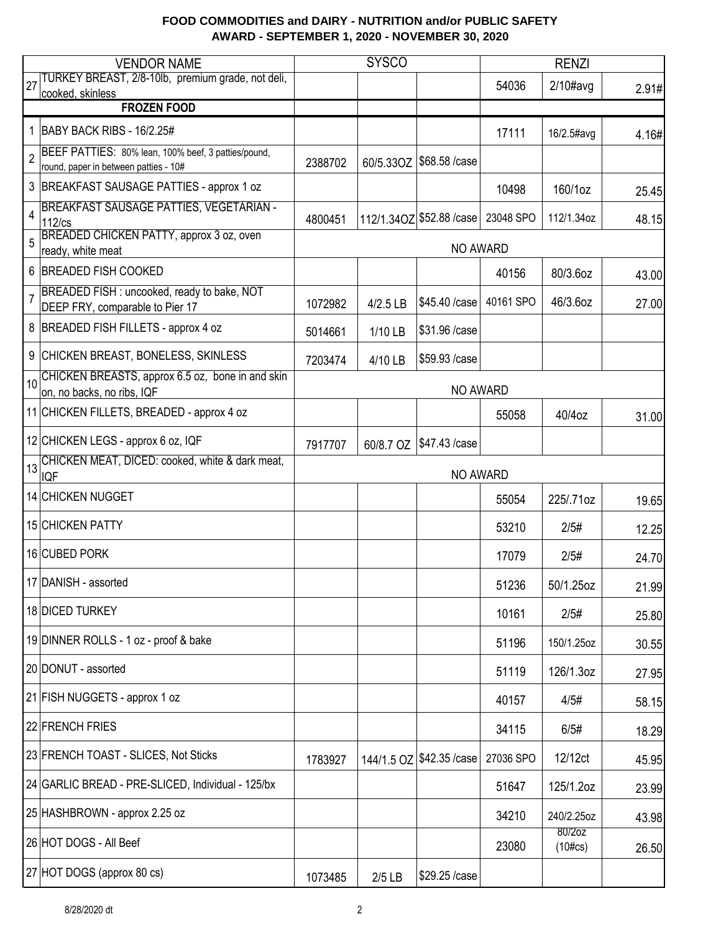|                | <b>VENDOR NAME</b>                                                                           |         | <b>SYSCO</b> |                             |           | <b>RENZI</b>         |       |
|----------------|----------------------------------------------------------------------------------------------|---------|--------------|-----------------------------|-----------|----------------------|-------|
| 27             | TURKEY BREAST, 2/8-10lb, premium grade, not deli,<br>cooked, skinless                        |         |              |                             | 54036     | $2/10\#avg$          | 2.91# |
|                | <b>FROZEN FOOD</b>                                                                           |         |              |                             |           |                      |       |
|                | 1   BABY BACK RIBS - 16/2.25#                                                                |         |              |                             | 17111     | 16/2.5#avg           | 4.16# |
| $\overline{2}$ | BEEF PATTIES: 80% lean, 100% beef, 3 patties/pound,<br>round, paper in between patties - 10# | 2388702 |              | 60/5.33OZ   \$68.58 / case  |           |                      |       |
|                | 3 BREAKFAST SAUSAGE PATTIES - approx 1 oz                                                    |         |              |                             | 10498     | 160/1oz              | 25.45 |
| $\overline{4}$ | <b>BREAKFAST SAUSAGE PATTIES, VEGETARIAN -</b><br>$112$ / $cs$                               | 4800451 |              | 112/1.34OZ \$52.88 / case   | 23048 SPO | 112/1.34oz           | 48.15 |
|                | BREADED CHICKEN PATTY, approx 3 oz, oven<br>ready, white meat                                |         |              | NO AWARD                    |           |                      |       |
|                | 6 BREADED FISH COOKED                                                                        |         |              |                             | 40156     | 80/3.6oz             | 43.00 |
| $\overline{7}$ | BREADED FISH : uncooked, ready to bake, NOT<br>DEEP FRY, comparable to Pier 17               | 1072982 | 4/2.5 LB     | \$45.40 /case               | 40161 SPO | 46/3.6oz             | 27.00 |
|                | 8   BREADED FISH FILLETS - approx 4 oz                                                       | 5014661 | 1/10 LB      | \$31.96 /case               |           |                      |       |
| 9              | CHICKEN BREAST, BONELESS, SKINLESS                                                           | 7203474 | 4/10 LB      | \$59.93 /case               |           |                      |       |
| 10             | CHICKEN BREASTS, approx 6.5 oz, bone in and skin<br>on, no backs, no ribs, IQF               |         |              | <b>NO AWARD</b>             |           |                      |       |
|                | 11 CHICKEN FILLETS, BREADED - approx 4 oz                                                    |         |              |                             | 55058     | 40/4oz               | 31.00 |
|                | 12 CHICKEN LEGS - approx 6 oz, IQF                                                           | 7917707 | 60/8.7 OZ    | \$47.43 /case               |           |                      |       |
| 13             | CHICKEN MEAT, DICED: cooked, white & dark meat,<br><b>IQF</b>                                |         |              | NO AWARD                    |           |                      |       |
|                | 14 CHICKEN NUGGET                                                                            |         |              |                             | 55054     | 225/.71oz            | 19.65 |
|                | 15 CHICKEN PATTY                                                                             |         |              |                             | 53210     | 2/5#                 | 12.25 |
|                | 16 CUBED PORK                                                                                |         |              |                             | 17079     | 2/5#                 | 24.70 |
|                | 17 DANISH - assorted                                                                         |         |              |                             | 51236     | 50/1.25oz            | 21.99 |
|                | 18 DICED TURKEY                                                                              |         |              |                             | 10161     | 2/5#                 | 25.80 |
|                | 19 DINNER ROLLS - 1 oz - proof & bake                                                        |         |              |                             | 51196     | 150/1.25oz           | 30.55 |
|                | 20 DONUT - assorted                                                                          |         |              |                             | 51119     | 126/1.3oz            | 27.95 |
|                | 21 FISH NUGGETS - approx 1 oz                                                                |         |              |                             | 40157     | 4/5#                 | 58.15 |
|                | 22 FRENCH FRIES                                                                              |         |              |                             | 34115     | 6/5#                 | 18.29 |
|                | 23 FRENCH TOAST - SLICES, Not Sticks                                                         | 1783927 |              | 144/1.5 OZ   \$42.35 / case | 27036 SPO | 12/12ct              | 45.95 |
|                | 24 GARLIC BREAD - PRE-SLICED, Individual - 125/bx                                            |         |              |                             | 51647     | 125/1.2oz            | 23.99 |
|                | 25 HASHBROWN - approx 2.25 oz                                                                |         |              |                             | 34210     | 240/2.25oz           | 43.98 |
|                | 26 HOT DOGS - All Beef                                                                       |         |              |                             | 23080     | 80/2oz<br>$(10\#cs)$ | 26.50 |
|                | 27 HOT DOGS (approx 80 cs)                                                                   | 1073485 | $2/5$ LB     | \$29.25 /case               |           |                      |       |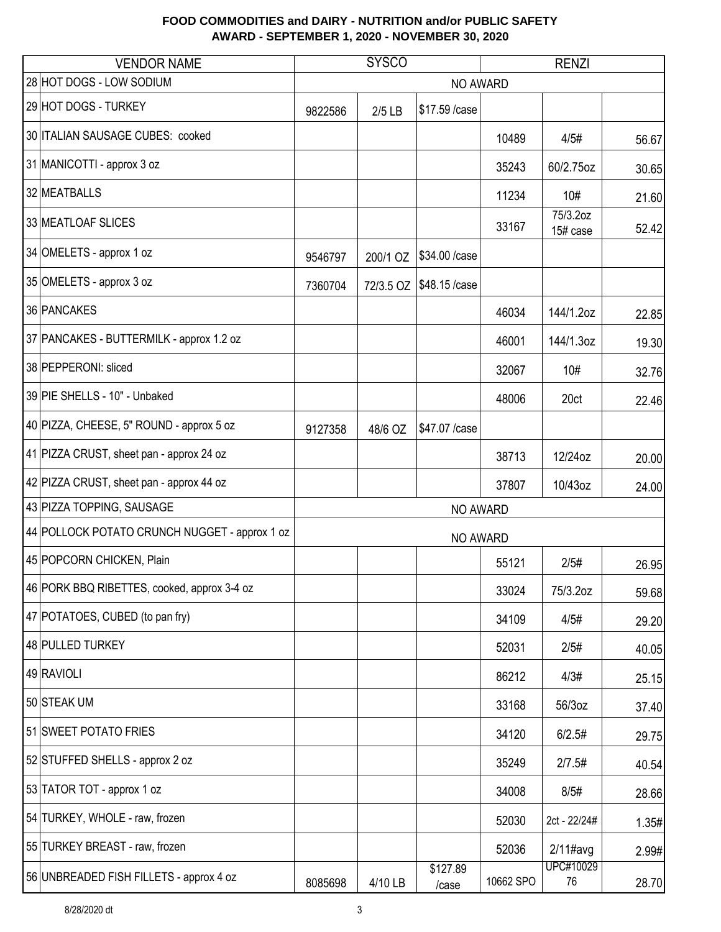| <b>VENDOR NAME</b>                            |         | <b>SYSCO</b> |                   | <b>RENZI</b> |                      |       |
|-----------------------------------------------|---------|--------------|-------------------|--------------|----------------------|-------|
| 28 HOT DOGS - LOW SODIUM                      |         |              | NO AWARD          |              |                      |       |
| 29 HOT DOGS - TURKEY                          | 9822586 | $2/5$ LB     | \$17.59 / case    |              |                      |       |
| 30 ITALIAN SAUSAGE CUBES: cooked              |         |              |                   | 10489        | 4/5#                 | 56.67 |
| 31 MANICOTTI - approx 3 oz                    |         |              |                   | 35243        | 60/2.75oz            | 30.65 |
| 32 MEATBALLS                                  |         |              |                   | 11234        | 10#                  | 21.60 |
| 33 MEATLOAF SLICES                            |         |              |                   | 33167        | 75/3.2oz<br>15# case | 52.42 |
| 34 OMELETS - approx 1 oz                      | 9546797 | 200/1 OZ     | \$34.00 / case    |              |                      |       |
| 35 OMELETS - approx 3 oz                      | 7360704 | 72/3.5 OZ    | \$48.15 /case     |              |                      |       |
| 36 PANCAKES                                   |         |              |                   | 46034        | 144/1.2oz            | 22.85 |
| 37 PANCAKES - BUTTERMILK - approx 1.2 oz      |         |              |                   | 46001        | 144/1.3oz            | 19.30 |
| 38 PEPPERONI: sliced                          |         |              |                   | 32067        | 10#                  | 32.76 |
| 39 PIE SHELLS - 10" - Unbaked                 |         |              |                   | 48006        | 20ct                 | 22.46 |
| 40 PIZZA, CHEESE, 5" ROUND - approx 5 oz      | 9127358 | 48/6 OZ      | \$47.07 /case     |              |                      |       |
| 41 PIZZA CRUST, sheet pan - approx 24 oz      |         |              |                   | 38713        | 12/24oz              | 20.00 |
| 42 PIZZA CRUST, sheet pan - approx 44 oz      |         |              |                   | 37807        | 10/43oz              | 24.00 |
| 43 PIZZA TOPPING, SAUSAGE                     |         |              | <b>NO AWARD</b>   |              |                      |       |
| 44 POLLOCK POTATO CRUNCH NUGGET - approx 1 oz |         |              | <b>NO AWARD</b>   |              |                      |       |
| 45 POPCORN CHICKEN, Plain                     |         |              |                   | 55121        | 2/5#                 | 26.95 |
| 46 PORK BBQ RIBETTES, cooked, approx 3-4 oz   |         |              |                   | 33024        | 75/3.2oz             | 59.68 |
| 47 POTATOES, CUBED (to pan fry)               |         |              |                   | 34109        | 4/5#                 | 29.20 |
| 48 PULLED TURKEY                              |         |              |                   | 52031        | 2/5#                 | 40.05 |
| 49 RAVIOLI                                    |         |              |                   | 86212        | 4/3#                 | 25.15 |
| 50 STEAK UM                                   |         |              |                   | 33168        | 56/3oz               | 37.40 |
| 51 SWEET POTATO FRIES                         |         |              |                   | 34120        | 6/2.5#               | 29.75 |
| 52 STUFFED SHELLS - approx 2 oz               |         |              |                   | 35249        | 2/7.5#               | 40.54 |
| 53 TATOR TOT - approx 1 oz                    |         |              |                   | 34008        | 8/5#                 | 28.66 |
| 54 TURKEY, WHOLE - raw, frozen                |         |              |                   | 52030        | 2ct - 22/24#         | 1.35# |
| 55 TURKEY BREAST - raw, frozen                |         |              |                   | 52036        | $2/11$ #avg          | 2.99# |
| 56 UNBREADED FISH FILLETS - approx 4 oz       | 8085698 | 4/10 LB      | \$127.89<br>/case | 10662 SPO    | UPC#10029<br>76      | 28.70 |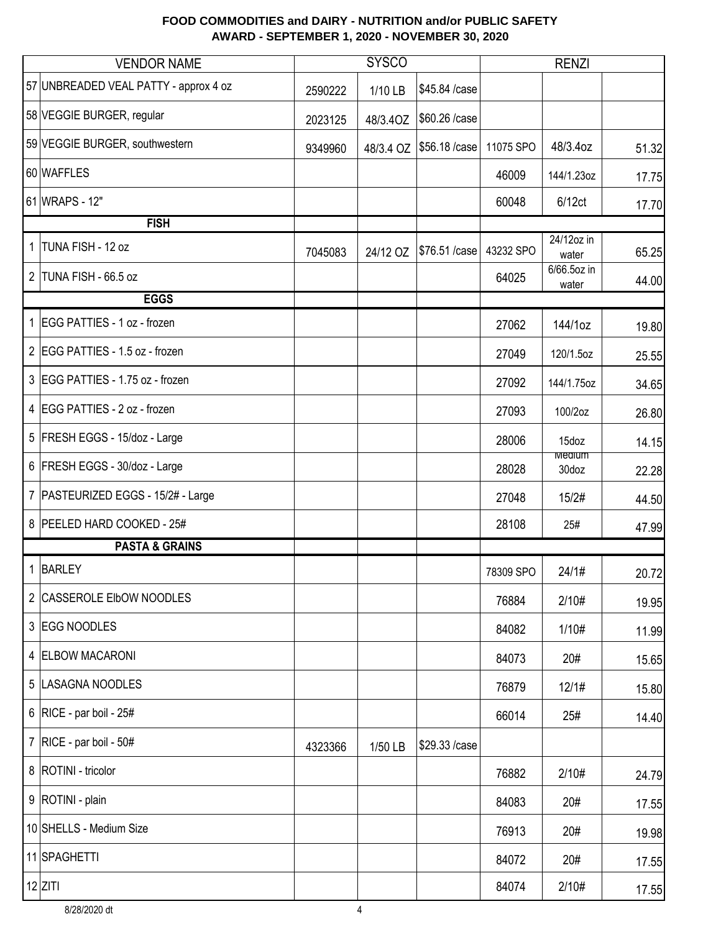|              | <b>VENDOR NAME</b>                    |         | <b>SYSCO</b> |                |           | <b>RENZI</b>           |       |
|--------------|---------------------------------------|---------|--------------|----------------|-----------|------------------------|-------|
|              | 57 UNBREADED VEAL PATTY - approx 4 oz | 2590222 | 1/10 LB      | \$45.84 /case  |           |                        |       |
|              | 58 VEGGIE BURGER, regular             | 2023125 | 48/3.4OZ     | \$60.26 /case  |           |                        |       |
|              | 59 VEGGIE BURGER, southwestern        | 9349960 | 48/3.4 OZ    | \$56.18 / case | 11075 SPO | 48/3.4oz               | 51.32 |
|              | 60 WAFFLES                            |         |              |                | 46009     | 144/1.23oz             | 17.75 |
|              | 61 WRAPS - 12"                        |         |              |                | 60048     | 6/12ct                 | 17.70 |
|              | <b>FISH</b>                           |         |              |                |           |                        |       |
| $\mathbf{1}$ | TUNA FISH - 12 oz                     | 7045083 | 24/12 OZ     | \$76.51 /case  | 43232 SPO | 24/12oz in<br>water    | 65.25 |
| $2^{\circ}$  | TUNA FISH - 66.5 oz                   |         |              |                | 64025     | 6/66.5oz in<br>water   | 44.00 |
|              | <b>EGGS</b>                           |         |              |                |           |                        |       |
|              | 1 EGG PATTIES - 1 oz - frozen         |         |              |                | 27062     | 144/1oz                | 19.80 |
|              | 2 EGG PATTIES - 1.5 oz - frozen       |         |              |                | 27049     | 120/1.5oz              | 25.55 |
|              | 3 EGG PATTIES - 1.75 oz - frozen      |         |              |                | 27092     | 144/1.75oz             | 34.65 |
|              | 4 EGG PATTIES - 2 oz - frozen         |         |              |                | 27093     | 100/2oz                | 26.80 |
|              | 5   FRESH EGGS - 15/doz - Large       |         |              |                | 28006     | 15doz                  | 14.15 |
|              | 6 FRESH EGGS - 30/doz - Large         |         |              |                | 28028     | <b>Medium</b><br>30doz | 22.28 |
|              | 7   PASTEURIZED EGGS - 15/2# - Large  |         |              |                | 27048     | 15/2#                  | 44.50 |
|              | 8 PEELED HARD COOKED - 25#            |         |              |                | 28108     | 25#                    | 47.99 |
|              | <b>PASTA &amp; GRAINS</b>             |         |              |                |           |                        |       |
|              | 1 BARLEY                              |         |              |                | 78309 SPO | 24/1#                  | 20.72 |
|              | 2 CASSEROLE EIbOW NOODLES             |         |              |                | 76884     | 2/10#                  | 19.95 |
|              | 3 EGG NOODLES                         |         |              |                | 84082     | 1/10#                  | 11.99 |
|              | 4 ELBOW MACARONI                      |         |              |                | 84073     | 20#                    | 15.65 |
|              | 5  LASAGNA NOODLES                    |         |              |                | 76879     | 12/1#                  | 15.80 |
|              | 6   RICE - par boil - $25#$           |         |              |                | 66014     | 25#                    | 14.40 |
|              | 7   RICE - par boil - $50#$           | 4323366 | 1/50 LB      | \$29.33 /case  |           |                        |       |
|              | 8   ROTINI - tricolor                 |         |              |                | 76882     | 2/10#                  | 24.79 |
|              | 9   ROTINI - plain                    |         |              |                | 84083     | 20#                    | 17.55 |
|              | 10 SHELLS - Medium Size               |         |              |                | 76913     | 20#                    | 19.98 |
|              | 11 SPAGHETTI                          |         |              |                | 84072     | 20#                    | 17.55 |
|              | $12$ ZITI                             |         |              |                | 84074     | 2/10#                  | 17.55 |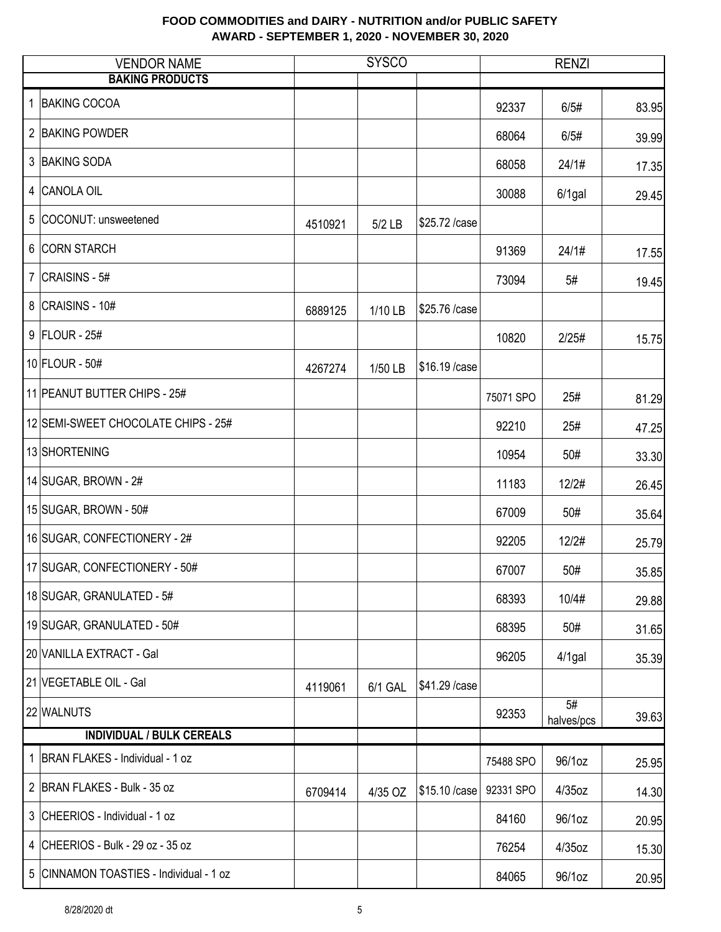|   | <b>VENDOR NAME</b>                      | <b>SYSCO</b> |          |                | <b>RENZI</b> |                               |       |
|---|-----------------------------------------|--------------|----------|----------------|--------------|-------------------------------|-------|
|   | <b>BAKING PRODUCTS</b>                  |              |          |                |              |                               |       |
| 1 | <b>BAKING COCOA</b>                     |              |          |                | 92337        | 6/5#                          | 83.95 |
|   | 2 BAKING POWDER                         |              |          |                | 68064        | 6/5#                          | 39.99 |
|   | 3 BAKING SODA                           |              |          |                | 68058        | 24/1#                         | 17.35 |
| 4 | CANOLA OIL                              |              |          |                | 30088        | $6/1$ gal                     | 29.45 |
|   | 5 COCONUT: unsweetened                  | 4510921      | $5/2$ LB | \$25.72 /case  |              |                               |       |
|   | 6 CORN STARCH                           |              |          |                | 91369        | 24/1#                         | 17.55 |
|   | 7 $ CRAISINS - 5#$                      |              |          |                | 73094        | 5#                            | 19.45 |
|   | 8 CRAISINS - 10#                        | 6889125      | 1/10 LB  | \$25.76 /case  |              |                               |       |
|   | 9 FLOUR - 25#                           |              |          |                | 10820        | 2/25#                         | 15.75 |
|   | 10 FLOUR - 50#                          | 4267274      | 1/50 LB  | \$16.19 / case |              |                               |       |
|   | 11 PEANUT BUTTER CHIPS - 25#            |              |          |                | 75071 SPO    | 25#                           | 81.29 |
|   | 12 SEMI-SWEET CHOCOLATE CHIPS - 25#     |              |          |                | 92210        | 25#                           | 47.25 |
|   | 13 SHORTENING                           |              |          |                | 10954        | 50#                           | 33.30 |
|   | 14 SUGAR, BROWN - $2#$                  |              |          |                | 11183        | 12/2#                         | 26.45 |
|   | 15 SUGAR, BROWN - 50#                   |              |          |                | 67009        | 50#                           | 35.64 |
|   | 16 SUGAR, CONFECTIONERY - 2#            |              |          |                | 92205        | 12/2#                         | 25.79 |
|   | 17 SUGAR, CONFECTIONERY - 50#           |              |          |                | 67007        | 50#                           | 35.85 |
|   | 18 SUGAR, GRANULATED - 5#               |              |          |                | 68393        | 10/4#                         | 29.88 |
|   | 19 SUGAR, GRANULATED - 50#              |              |          |                | 68395        | 50#                           | 31.65 |
|   | 20 VANILLA EXTRACT - Gal                |              |          |                | 96205        | $4/1$ gal                     | 35.39 |
|   | 21 VEGETABLE OIL - Gal                  | 4119061      | 6/1 GAL  | \$41.29 / case |              |                               |       |
|   | 22 WALNUTS                              |              |          |                | 92353        | $\overline{5#}$<br>halves/pcs | 39.63 |
|   | <b>INDIVIDUAL / BULK CEREALS</b>        |              |          |                |              |                               |       |
|   | 1 BRAN FLAKES - Individual - 1 oz       |              |          |                | 75488 SPO    | 96/1oz                        | 25.95 |
|   | 2 BRAN FLAKES - Bulk - 35 oz            | 6709414      | 4/35 OZ  | \$15.10 / case | 92331 SPO    | $4/35$ oz                     | 14.30 |
|   | 3 CHEERIOS - Individual - 1 oz          |              |          |                | 84160        | 96/1oz                        | 20.95 |
|   | 4 CHEERIOS - Bulk - 29 oz - 35 oz       |              |          |                | 76254        | 4/35oz                        | 15.30 |
|   | 5 CINNAMON TOASTIES - Individual - 1 oz |              |          |                | 84065        | 96/1oz                        | 20.95 |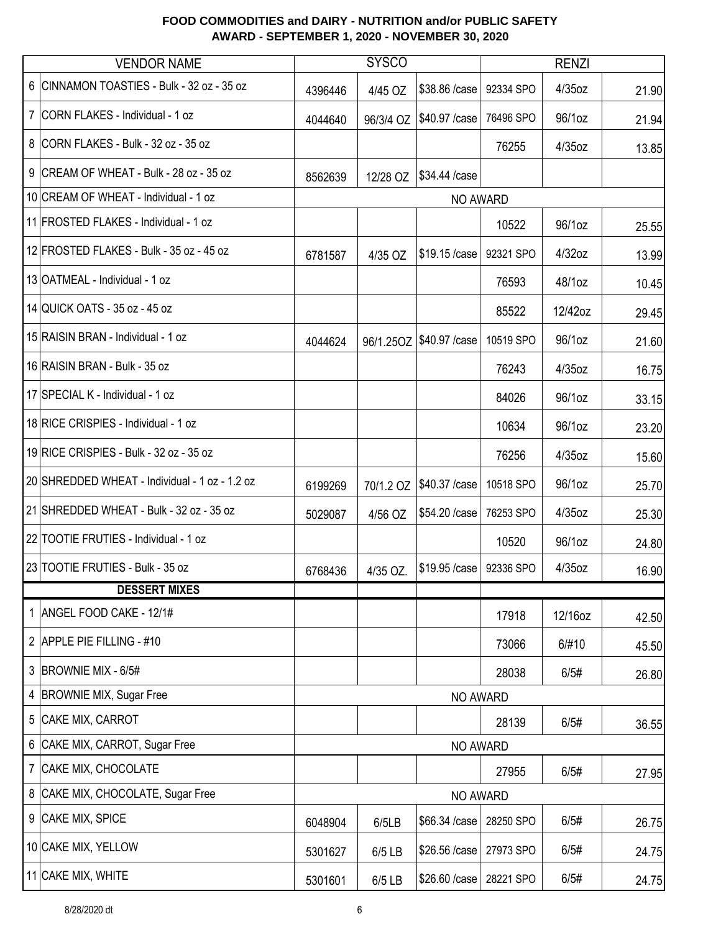|                | <b>VENDOR NAME</b>                             |          | <b>SYSCO</b> |                            |           | <b>RENZI</b> |       |  |
|----------------|------------------------------------------------|----------|--------------|----------------------------|-----------|--------------|-------|--|
|                | 6 CINNAMON TOASTIES - Bulk - 32 oz - 35 oz     | 4396446  | 4/45 OZ      | \$38.86 / case             | 92334 SPO | 4/35oz       | 21.90 |  |
|                | 7 CORN FLAKES - Individual - 1 oz              | 4044640  | 96/3/4 OZ    | \$40.97 / case             | 76496 SPO | 96/1oz       | 21.94 |  |
|                | 8 CORN FLAKES - Bulk - 32 oz - 35 oz           |          |              |                            | 76255     | 4/35oz       | 13.85 |  |
|                | 9 CREAM OF WHEAT - Bulk - 28 oz - 35 oz        | 8562639  | 12/28 OZ     | \$34.44 /case              |           |              |       |  |
|                | 10 CREAM OF WHEAT - Individual - 1 oz          |          |              | NO AWARD                   |           |              |       |  |
|                | 11 FROSTED FLAKES - Individual - 1 oz          |          |              |                            | 10522     | 96/1oz       | 25.55 |  |
|                | 12 FROSTED FLAKES - Bulk - 35 oz - 45 oz       | 6781587  | 4/35 OZ      | \$19.15 /case              | 92321 SPO | 4/32oz       | 13.99 |  |
|                | 13 OATMEAL - Individual - 1 oz                 |          |              |                            | 76593     | 48/1oz       | 10.45 |  |
|                | 14 QUICK OATS - 35 oz - 45 oz                  |          |              |                            | 85522     | 12/42oz      | 29.45 |  |
|                | 15 RAISIN BRAN - Individual - 1 oz             | 4044624  |              | 96/1.25OZ   \$40.97 / case | 10519 SPO | 96/1oz       | 21.60 |  |
|                | 16 RAISIN BRAN - Bulk - 35 oz                  |          |              |                            | 76243     | 4/35oz       | 16.75 |  |
|                | 17 SPECIAL K - Individual - 1 oz               |          |              |                            | 84026     | 96/1oz       | 33.15 |  |
|                | 18 RICE CRISPIES - Individual - 1 oz           |          |              |                            | 10634     | 96/1oz       | 23.20 |  |
|                | 19 RICE CRISPIES - Bulk - 32 oz - 35 oz        |          |              |                            | 76256     | 4/35oz       | 15.60 |  |
|                | 20 SHREDDED WHEAT - Individual - 1 oz - 1.2 oz | 6199269  | 70/1.2 OZ    | \$40.37 / case             | 10518 SPO | 96/1oz       | 25.70 |  |
|                | 21 SHREDDED WHEAT - Bulk - 32 oz - 35 oz       | 5029087  | 4/56 OZ      | \$54.20 / case             | 76253 SPO | 4/35oz       | 25.30 |  |
|                | 22 TOOTIE FRUTIES - Individual - 1 oz          |          |              |                            | 10520     | 96/1oz       | 24.80 |  |
|                | 23 TOOTIE FRUTIES - Bulk - 35 oz               | 6768436  | 4/35 OZ.     | \$19.95 / case   92336 SPO |           | $4/35$ oz    | 16.90 |  |
|                | <b>DESSERT MIXES</b>                           |          |              |                            |           |              |       |  |
|                | 1 ANGEL FOOD CAKE - 12/1#                      |          |              |                            | 17918     | 12/16oz      | 42.50 |  |
|                | 2 APPLE PIE FILLING - #10                      |          |              |                            | 73066     | 6/#10        | 45.50 |  |
|                | 3 BROWNIE MIX - 6/5#                           |          |              |                            | 28038     | 6/5#         | 26.80 |  |
| 4              | <b>BROWNIE MIX, Sugar Free</b>                 |          |              | NO AWARD                   |           |              |       |  |
| 5              | CAKE MIX, CARROT                               |          |              |                            | 28139     | 6/5#         | 36.55 |  |
| 6              | CAKE MIX, CARROT, Sugar Free                   | NO AWARD |              |                            |           |              |       |  |
| $\overline{7}$ | CAKE MIX, CHOCOLATE                            |          |              |                            | 27955     | 6/5#         | 27.95 |  |
|                | 8 CAKE MIX, CHOCOLATE, Sugar Free              |          |              | NO AWARD                   |           |              |       |  |
|                | 9 CAKE MIX, SPICE                              | 6048904  | 6/5LB        | \$66.34 /case              | 28250 SPO | 6/5#         | 26.75 |  |
|                | 10 CAKE MIX, YELLOW                            | 5301627  | 6/5 LB       | \$26.56 /case              | 27973 SPO | 6/5#         | 24.75 |  |
|                | 11 CAKE MIX, WHITE                             | 5301601  | 6/5 LB       | \$26.60 / case             | 28221 SPO | 6/5#         | 24.75 |  |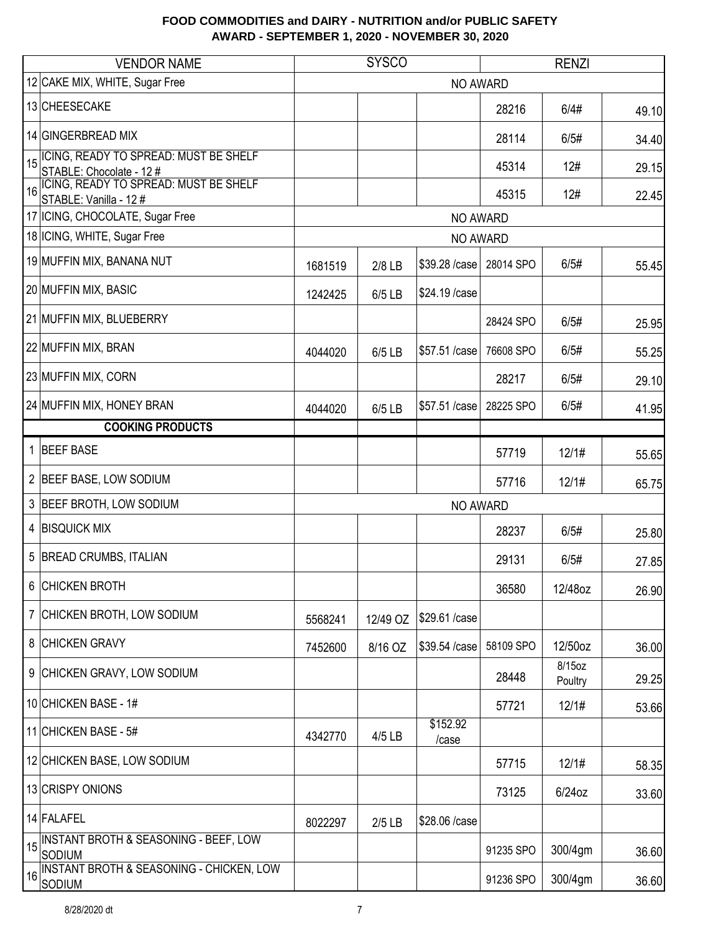|                | <b>VENDOR NAME</b>                                                |         | <b>SYSCO</b> |                   | <b>RENZI</b> |                   |       |
|----------------|-------------------------------------------------------------------|---------|--------------|-------------------|--------------|-------------------|-------|
|                | 12 CAKE MIX, WHITE, Sugar Free                                    |         |              | <b>NO AWARD</b>   |              |                   |       |
|                | 13 CHEESECAKE                                                     |         |              |                   | 28216        | 6/4#              | 49.10 |
|                | 14 GINGERBREAD MIX                                                |         |              |                   | 28114        | 6/5#              | 34.40 |
| 15             | ICING, READY TO SPREAD: MUST BE SHELF<br>STABLE: Chocolate - 12 # |         |              |                   | 45314        | 12#               | 29.15 |
| 16             | ICING, READY TO SPREAD: MUST BE SHELF<br>STABLE: Vanilla - 12 #   |         |              |                   | 45315        | 12#               | 22.45 |
|                | 17 ICING, CHOCOLATE, Sugar Free                                   |         |              | NO AWARD          |              |                   |       |
|                | 18 ICING, WHITE, Sugar Free                                       |         |              | <b>NO AWARD</b>   |              |                   |       |
|                | 19 MUFFIN MIX, BANANA NUT                                         | 1681519 | 2/8 LB       | \$39.28 /case     | 28014 SPO    | 6/5#              | 55.45 |
|                | 20 MUFFIN MIX, BASIC                                              | 1242425 | 6/5 LB       | \$24.19 / case    |              |                   |       |
|                | 21 MUFFIN MIX, BLUEBERRY                                          |         |              |                   | 28424 SPO    | 6/5#              | 25.95 |
|                | 22 MUFFIN MIX, BRAN                                               | 4044020 | 6/5 LB       | \$57.51 /case     | 76608 SPO    | 6/5#              | 55.25 |
|                | 23 MUFFIN MIX, CORN                                               |         |              |                   | 28217        | 6/5#              | 29.10 |
|                | 24 MUFFIN MIX, HONEY BRAN                                         | 4044020 | 6/5 LB       | \$57.51 /case     | 28225 SPO    | 6/5#              | 41.95 |
|                | <b>COOKING PRODUCTS</b>                                           |         |              |                   |              |                   |       |
| 1              | <b>BEEF BASE</b>                                                  |         |              |                   | 57719        | 12/1#             | 55.65 |
| $\overline{2}$ | <b>BEEF BASE, LOW SODIUM</b>                                      |         |              |                   | 57716        | 12/1#             | 65.75 |
| 3              | <b>BEEF BROTH, LOW SODIUM</b>                                     |         |              | NO AWARD          |              |                   |       |
| 4              | <b>BISQUICK MIX</b>                                               |         |              |                   | 28237        | 6/5#              | 25.80 |
| 5              | <b>BREAD CRUMBS, ITALIAN</b>                                      |         |              |                   | 29131        | 6/5#              | 27.85 |
| 6              | <b>CHICKEN BROTH</b>                                              |         |              |                   | 36580        | 12/48oz           | 26.90 |
| 7              | CHICKEN BROTH, LOW SODIUM                                         | 5568241 | 12/49 OZ     | \$29.61 /case     |              |                   |       |
| 8              | <b>CHICKEN GRAVY</b>                                              | 7452600 | 8/16 OZ      | \$39.54 /case     | 58109 SPO    | 12/50oz           | 36.00 |
| 9              | CHICKEN GRAVY, LOW SODIUM                                         |         |              |                   | 28448        | 8/15oz<br>Poultry | 29.25 |
|                | 10 CHICKEN BASE - 1#                                              |         |              |                   | 57721        | 12/1#             | 53.66 |
|                | 11 CHICKEN BASE - 5#                                              | 4342770 | 4/5 LB       | \$152.92<br>/case |              |                   |       |
|                | 12 CHICKEN BASE, LOW SODIUM                                       |         |              |                   | 57715        | 12/1#             | 58.35 |
|                | 13 CRISPY ONIONS                                                  |         |              |                   | 73125        | $6/24$ oz         | 33.60 |
|                | 14 FALAFEL                                                        | 8022297 | $2/5$ LB     | \$28.06 /case     |              |                   |       |
| 15             | <b>INSTANT BROTH &amp; SEASONING - BEEF, LOW</b><br>SODIUM        |         |              |                   | 91235 SPO    | 300/4gm           | 36.60 |
| 16             | <b>INSTANT BROTH &amp; SEASONING - CHICKEN, LOW</b><br>SODIUM     |         |              |                   | 91236 SPO    | 300/4gm           | 36.60 |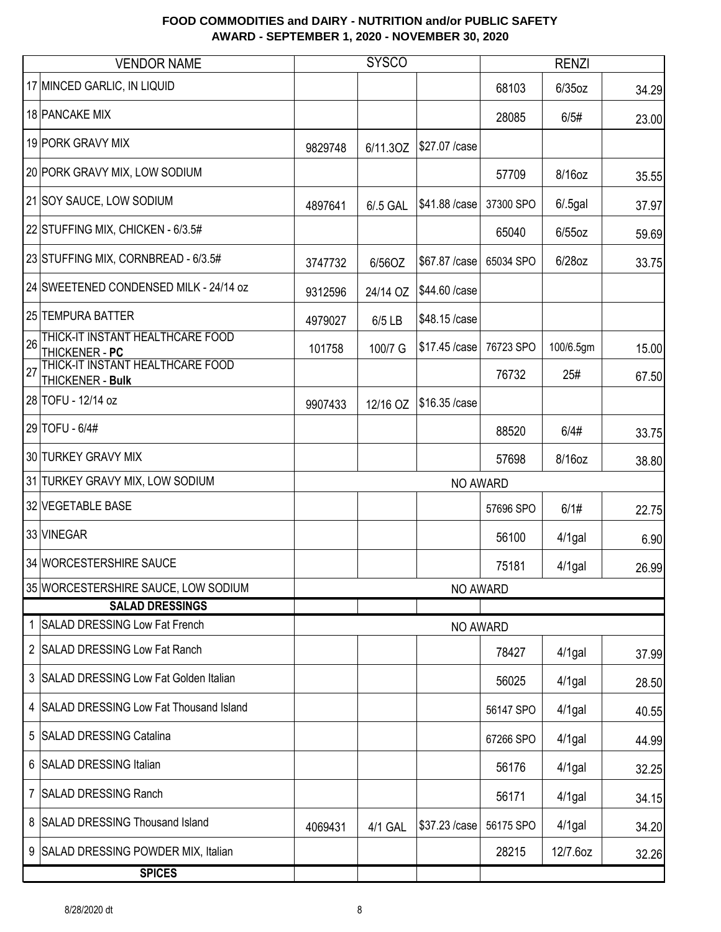|                | <b>VENDOR NAME</b>                                   | <b>SYSCO</b> |          |                | <b>RENZI</b> |            |       |
|----------------|------------------------------------------------------|--------------|----------|----------------|--------------|------------|-------|
|                | 17 MINCED GARLIC, IN LIQUID                          |              |          |                | 68103        | $6/35$ oz  | 34.29 |
|                | 18 PANCAKE MIX                                       |              |          |                | 28085        | 6/5#       | 23.00 |
|                | 19 PORK GRAVY MIX                                    | 9829748      | 6/11.30Z | \$27.07 / case |              |            |       |
|                | 20 PORK GRAVY MIX, LOW SODIUM                        |              |          |                | 57709        | 8/16oz     | 35.55 |
|                | 21 SOY SAUCE, LOW SODIUM                             | 4897641      | 6/.5 GAL | \$41.88 / case | 37300 SPO    | $6/.5$ gal | 37.97 |
|                | 22 STUFFING MIX, CHICKEN - 6/3.5#                    |              |          |                | 65040        | $6/55$ oz  | 59.69 |
|                | 23 STUFFING MIX, CORNBREAD - 6/3.5#                  | 3747732      | 6/56OZ   | \$67.87 /case  | 65034 SPO    | 6/28oz     | 33.75 |
|                | 24 SWEETENED CONDENSED MILK - 24/14 oz               | 9312596      | 24/14 OZ | \$44.60 / case |              |            |       |
|                | 25 TEMPURA BATTER                                    | 4979027      | 6/5 LB   | \$48.15 /case  |              |            |       |
| 26             | THICK-IT INSTANT HEALTHCARE FOOD<br>THICKENER - PC   | 101758       | 100/7 G  | \$17.45 /case  | 76723 SPO    | 100/6.5gm  | 15.00 |
|                | THICK-IT INSTANT HEALTHCARE FOOD<br>THICKENER - Bulk |              |          |                | 76732        | 25#        | 67.50 |
|                | 28 TOFU - 12/14 oz                                   | 9907433      | 12/16 OZ | \$16.35 / case |              |            |       |
|                | 29 TOFU - 6/4#                                       |              |          |                | 88520        | 6/4#       | 33.75 |
|                | 30 TURKEY GRAVY MIX                                  |              |          |                | 57698        | 8/16oz     | 38.80 |
|                | 31 TURKEY GRAVY MIX, LOW SODIUM                      |              |          | NO AWARD       |              |            |       |
|                | 32 VEGETABLE BASE                                    |              |          |                | 57696 SPO    | 6/1#       | 22.75 |
|                | 33 VINEGAR                                           |              |          |                | 56100        | $4/1$ gal  | 6.90  |
|                | 34 WORCESTERSHIRE SAUCE                              |              |          |                | 75181        | $4/1$ gal  | 26.99 |
|                | 35 WORCESTERSHIRE SAUCE, LOW SODIUM                  |              |          | NO AWARD       |              |            |       |
|                | <b>SALAD DRESSINGS</b>                               |              |          |                |              |            |       |
|                | 1 SALAD DRESSING Low Fat French                      |              |          | NO AWARD       |              |            |       |
|                | 2 SALAD DRESSING Low Fat Ranch                       |              |          |                | 78427        | $4/1$ gal  | 37.99 |
|                | 3 SALAD DRESSING Low Fat Golden Italian              |              |          |                | 56025        | $4/1$ gal  | 28.50 |
|                | 4 SALAD DRESSING Low Fat Thousand Island             |              |          |                | 56147 SPO    | $4/1$ gal  | 40.55 |
|                | 5 SALAD DRESSING Catalina                            |              |          |                | 67266 SPO    | $4/1$ gal  | 44.99 |
|                | 6 SALAD DRESSING Italian                             |              |          |                | 56176        | $4/1$ gal  | 32.25 |
| $\overline{7}$ | <b>SALAD DRESSING Ranch</b>                          |              |          |                | 56171        | $4/1$ gal  | 34.15 |
|                | 8 SALAD DRESSING Thousand Island                     | 4069431      | 4/1 GAL  | \$37.23 /case  | 56175 SPO    | $4/1$ gal  | 34.20 |
|                | 9 SALAD DRESSING POWDER MIX, Italian                 |              |          |                | 28215        | 12/7.6oz   | 32.26 |
|                | <b>SPICES</b>                                        |              |          |                |              |            |       |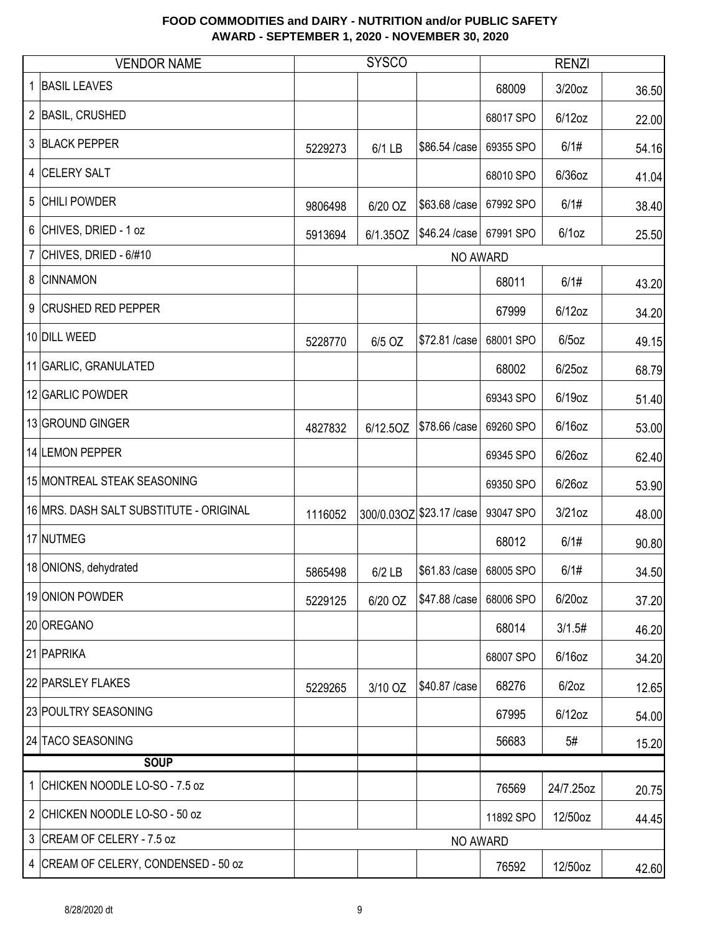|                | <b>VENDOR NAME</b>                      |         | <b>SYSCO</b> |                           |           | <b>RENZI</b> |       |
|----------------|-----------------------------------------|---------|--------------|---------------------------|-----------|--------------|-------|
|                | <b>BASIL LEAVES</b>                     |         |              |                           | 68009     | 3/20oz       | 36.50 |
|                | 2 BASIL, CRUSHED                        |         |              |                           | 68017 SPO | $6/12$ oz    | 22.00 |
| 3              | <b>BLACK PEPPER</b>                     | 5229273 | 6/1 LB       | \$86.54 /case             | 69355 SPO | 6/1#         | 54.16 |
| 4              | <b>CELERY SALT</b>                      |         |              |                           | 68010 SPO | $6/36$ oz    | 41.04 |
| 5              | <b>CHILI POWDER</b>                     | 9806498 | 6/20 OZ      | \$63.68 /case             | 67992 SPO | 6/1#         | 38.40 |
|                | 6 CHIVES, DRIED - 1 oz                  | 5913694 | 6/1.35OZ     | \$46.24 / case            | 67991 SPO | $6/1$ oz     | 25.50 |
| $\overline{7}$ | CHIVES, DRIED - 6/#10                   |         |              | NO AWARD                  |           |              |       |
| 8              | <b>CINNAMON</b>                         |         |              |                           | 68011     | 6/1#         | 43.20 |
|                | 9 CRUSHED RED PEPPER                    |         |              |                           | 67999     | $6/12$ oz    | 34.20 |
|                | 10 DILL WEED                            | 5228770 | 6/5 OZ       | \$72.81 /case             | 68001 SPO | $6/5$ oz     | 49.15 |
|                | 11 GARLIC, GRANULATED                   |         |              |                           | 68002     | $6/25$ oz    | 68.79 |
|                | 12 GARLIC POWDER                        |         |              |                           | 69343 SPO | 6/19oz       | 51.40 |
|                | 13 GROUND GINGER                        | 4827832 | 6/12.5OZ     | \$78.66 /case             | 69260 SPO | $6/16$ oz    | 53.00 |
|                | 14 LEMON PEPPER                         |         |              |                           | 69345 SPO | $6/26$ oz    | 62.40 |
|                | 15 MONTREAL STEAK SEASONING             |         |              |                           | 69350 SPO | $6/26$ oz    | 53.90 |
|                | 16 MRS. DASH SALT SUBSTITUTE - ORIGINAL | 1116052 |              | 300/0.03OZ \$23.17 / case | 93047 SPO | $3/21$ oz    | 48.00 |
|                | 17 NUTMEG                               |         |              |                           | 68012     | 6/1#         | 90.80 |
|                | 18 ONIONS, dehydrated                   | 5865498 | $6/2$ LB     | \$61.83 / case            | 68005 SPO | 6/1#         | 34.50 |
|                | 19 ONION POWDER                         | 5229125 | 6/20 OZ      | \$47.88 /case             | 68006 SPO | 6/20oz       | 37.20 |
|                | 20 OREGANO                              |         |              |                           | 68014     | 3/1.5#       | 46.20 |
|                | 21 PAPRIKA                              |         |              |                           | 68007 SPO | $6/16$ oz    | 34.20 |
|                | 22 PARSLEY FLAKES                       | 5229265 | 3/10 OZ      | \$40.87 /case             | 68276     | $6/2$ oz     | 12.65 |
|                | 23 POULTRY SEASONING                    |         |              |                           | 67995     | $6/12$ oz    | 54.00 |
|                | 24 TACO SEASONING                       |         |              |                           | 56683     | 5#           | 15.20 |
|                | <b>SOUP</b>                             |         |              |                           |           |              |       |
| 1.             | CHICKEN NOODLE LO-SO - 7.5 oz           |         |              |                           | 76569     | 24/7.25oz    | 20.75 |
|                | 2 CHICKEN NOODLE LO-SO - 50 oz          |         |              |                           | 11892 SPO | 12/50oz      | 44.45 |
|                | 3 CREAM OF CELERY - 7.5 oz              |         |              | NO AWARD                  |           |              |       |
|                | 4 CREAM OF CELERY, CONDENSED - 50 oz    |         |              |                           | 76592     | 12/50oz      | 42.60 |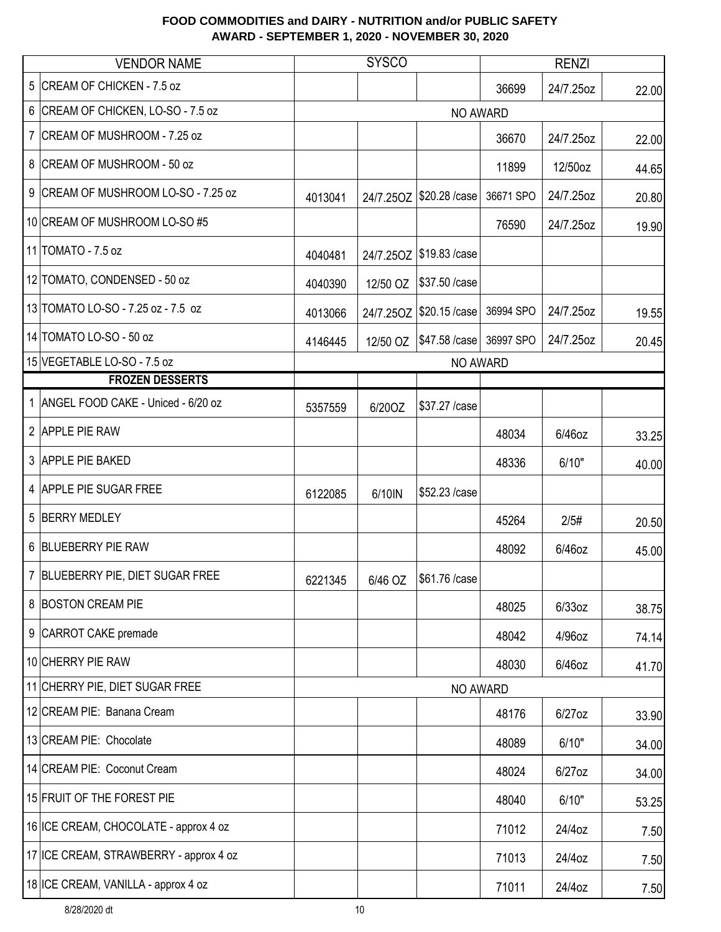|                | <b>VENDOR NAME</b>                     |         | <b>SYSCO</b> |                                       |           | <b>RENZI</b> |       |
|----------------|----------------------------------------|---------|--------------|---------------------------------------|-----------|--------------|-------|
| 5              | CREAM OF CHICKEN - 7.5 oz              |         |              |                                       | 36699     | 24/7.25oz    | 22.00 |
|                | 6 CREAM OF CHICKEN, LO-SO - 7.5 oz     |         |              | NO AWARD                              |           |              |       |
| $\overline{7}$ | CREAM OF MUSHROOM - 7.25 oz            |         |              |                                       | 36670     | 24/7.25oz    | 22.00 |
|                | 8 CREAM OF MUSHROOM - 50 oz            |         |              |                                       | 11899     | 12/50oz      | 44.65 |
|                | 9 CREAM OF MUSHROOM LO-SO - 7.25 oz    | 4013041 |              | 24/7.25OZ   \$20.28 / case            | 36671 SPO | 24/7.25oz    | 20.80 |
|                | 10 CREAM OF MUSHROOM LO-SO #5          |         |              |                                       | 76590     | 24/7.25oz    | 19.90 |
|                | 11 TOMATO - 7.5 oz                     | 4040481 |              | 24/7.25OZ   \$19.83 / case            |           |              |       |
|                | 12 TOMATO, CONDENSED - 50 oz           | 4040390 | 12/50 OZ     | \$37.50 / case                        |           |              |       |
|                | 13 TOMATO LO-SO - 7.25 oz - 7.5 oz     | 4013066 |              | 24/7.25OZ   \$20.15 / case            | 36994 SPO | 24/7.25oz    | 19.55 |
|                | 14 TOMATO LO-SO - 50 oz                | 4146445 |              | 12/50 OZ   \$47.58 / case   36997 SPO |           | 24/7.25oz    | 20.45 |
|                | 15 VEGETABLE LO-SO - 7.5 oz            |         |              | NO AWARD                              |           |              |       |
|                | <b>FROZEN DESSERTS</b>                 |         |              |                                       |           |              |       |
| $\mathbf 1$    | ANGEL FOOD CAKE - Uniced - 6/20 oz     | 5357559 | 6/20OZ       | \$37.27 / case                        |           |              |       |
|                | 2 APPLE PIE RAW                        |         |              |                                       | 48034     | 6/46oz       | 33.25 |
|                | 3 APPLE PIE BAKED                      |         |              |                                       | 48336     | 6/10"        | 40.00 |
|                | 4 APPLE PIE SUGAR FREE                 | 6122085 | 6/10IN       | \$52.23 /case                         |           |              |       |
|                | 5 BERRY MEDLEY                         |         |              |                                       | 45264     | 2/5#         | 20.50 |
|                | 6 BLUEBERRY PIE RAW                    |         |              |                                       | 48092     | 6/46oz       | 45.00 |
|                | 7 BLUEBERRY PIE, DIET SUGAR FREE       | 6221345 | 6/46 OZ      | \$61.76 /case                         |           |              |       |
|                | 8 BOSTON CREAM PIE                     |         |              |                                       | 48025     | 6/33oz       | 38.75 |
|                | 9 CARROT CAKE premade                  |         |              |                                       | 48042     | 4/96oz       | 74.14 |
|                | 10 CHERRY PIE RAW                      |         |              |                                       | 48030     | 6/46oz       | 41.70 |
|                | 11 CHERRY PIE, DIET SUGAR FREE         |         |              | NO AWARD                              |           |              |       |
|                | 12 CREAM PIE: Banana Cream             |         |              |                                       | 48176     | $6/27$ oz    | 33.90 |
|                | 13 CREAM PIE: Chocolate                |         |              |                                       | 48089     | 6/10"        | 34.00 |
|                | 14 CREAM PIE: Coconut Cream            |         |              |                                       | 48024     | $6/27$ oz    | 34.00 |
|                | 15 FRUIT OF THE FOREST PIE             |         |              |                                       | 48040     | 6/10"        | 53.25 |
|                | 16 ICE CREAM, CHOCOLATE - approx 4 oz  |         |              |                                       | 71012     | 24/4oz       | 7.50  |
|                | 17 ICE CREAM, STRAWBERRY - approx 4 oz |         |              |                                       | 71013     | 24/4oz       | 7.50  |
|                | 18 ICE CREAM, VANILLA - approx 4 oz    |         |              |                                       | 71011     | 24/4oz       | 7.50  |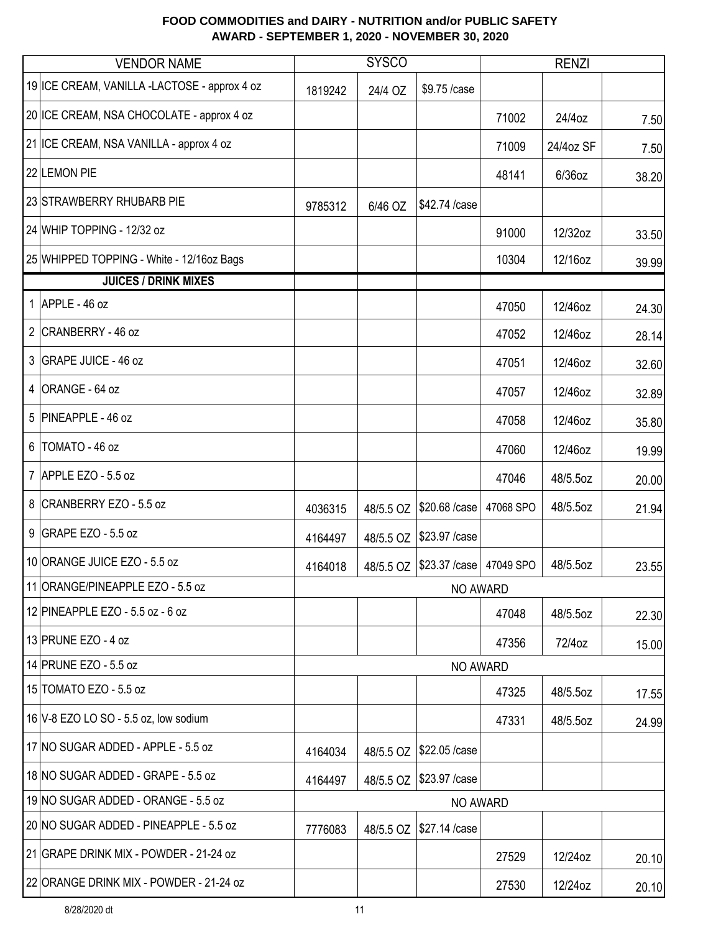|   | <b>VENDOR NAME</b>                           |         | <b>SYSCO</b> |                                        |           | <b>RENZI</b> |       |
|---|----------------------------------------------|---------|--------------|----------------------------------------|-----------|--------------|-------|
|   | 19 ICE CREAM, VANILLA -LACTOSE - approx 4 oz | 1819242 | 24/4 OZ      | \$9.75 /case                           |           |              |       |
|   | 20 ICE CREAM, NSA CHOCOLATE - approx 4 oz    |         |              |                                        | 71002     | 24/4oz       | 7.50  |
|   | 21 ICE CREAM, NSA VANILLA - approx 4 oz      |         |              |                                        | 71009     | 24/4oz SF    | 7.50  |
|   | 22 LEMON PIE                                 |         |              |                                        | 48141     | $6/36$ oz    | 38.20 |
|   | 23 STRAWBERRY RHUBARB PIE                    | 9785312 | 6/46 OZ      | \$42.74 /case                          |           |              |       |
|   | 24 WHIP TOPPING - 12/32 oz                   |         |              |                                        | 91000     | 12/32oz      | 33.50 |
|   | 25 WHIPPED TOPPING - White - 12/16oz Bags    |         |              |                                        | 10304     | 12/16oz      | 39.99 |
|   | <b>JUICES / DRINK MIXES</b>                  |         |              |                                        |           |              |       |
|   | 1 $APPLE - 46$ oz                            |         |              |                                        | 47050     | 12/46oz      | 24.30 |
|   | 2 CRANBERRY - 46 oz                          |         |              |                                        | 47052     | 12/46oz      | 28.14 |
|   | 3 GRAPE JUICE - 46 oz                        |         |              |                                        | 47051     | 12/46oz      | 32.60 |
| 4 | ORANGE - 64 oz                               |         |              |                                        | 47057     | 12/46oz      | 32.89 |
|   | 5 PINEAPPLE - 46 oz                          |         |              |                                        | 47058     | 12/46oz      | 35.80 |
| 6 | TOMATO - 46 oz                               |         |              |                                        | 47060     | 12/46oz      | 19.99 |
|   | 7 APPLE EZO - 5.5 oz                         |         |              |                                        | 47046     | 48/5.5oz     | 20.00 |
|   | 8 CRANBERRY EZO - 5.5 oz                     | 4036315 | 48/5.5 OZ    | \$20.68 / case                         | 47068 SPO | 48/5.5oz     | 21.94 |
|   | 9 GRAPE EZO - 5.5 oz                         | 4164497 |              | 48/5.5 OZ   \$23.97 / case             |           |              |       |
|   | 10 ORANGE JUICE EZO - 5.5 oz                 | 4164018 |              | 48/5.5 OZ   \$23.37 / case   47049 SPO |           | 48/5.5oz     | 23.55 |
|   | 11 ORANGE/PINEAPPLE EZO - 5.5 oz             |         |              | <b>NO AWARD</b>                        |           |              |       |
|   | 12 PINEAPPLE EZO - 5.5 oz - 6 oz             |         |              |                                        | 47048     | 48/5.5oz     | 22.30 |
|   | 13 PRUNE EZO - 4 oz                          |         |              |                                        | 47356     | 72/4oz       | 15.00 |
|   | 14 PRUNE EZO - 5.5 oz                        |         |              | NO AWARD                               |           |              |       |
|   | 15 TOMATO EZO - 5.5 oz                       |         |              |                                        | 47325     | 48/5.5oz     | 17.55 |
|   | 16 V-8 EZO LO SO - 5.5 oz, low sodium        |         |              |                                        | 47331     | 48/5.5oz     | 24.99 |
|   | 17 NO SUGAR ADDED - APPLE - 5.5 oz           | 4164034 | 48/5.5 OZ    | \$22.05 /case                          |           |              |       |
|   | 18 NO SUGAR ADDED - GRAPE - 5.5 oz           | 4164497 | 48/5.5 OZ    | \$23.97 / case                         |           |              |       |
|   | 19 NO SUGAR ADDED - ORANGE - 5.5 oz          |         |              | NO AWARD                               |           |              |       |
|   | 20 NO SUGAR ADDED - PINEAPPLE - 5.5 oz       | 7776083 | 48/5.5 OZ    | \$27.14 /case                          |           |              |       |
|   | 21 GRAPE DRINK MIX - POWDER - 21-24 oz       |         |              |                                        | 27529     | 12/24oz      | 20.10 |
|   | 22 ORANGE DRINK MIX - POWDER - 21-24 oz      |         |              |                                        | 27530     | 12/24oz      | 20.10 |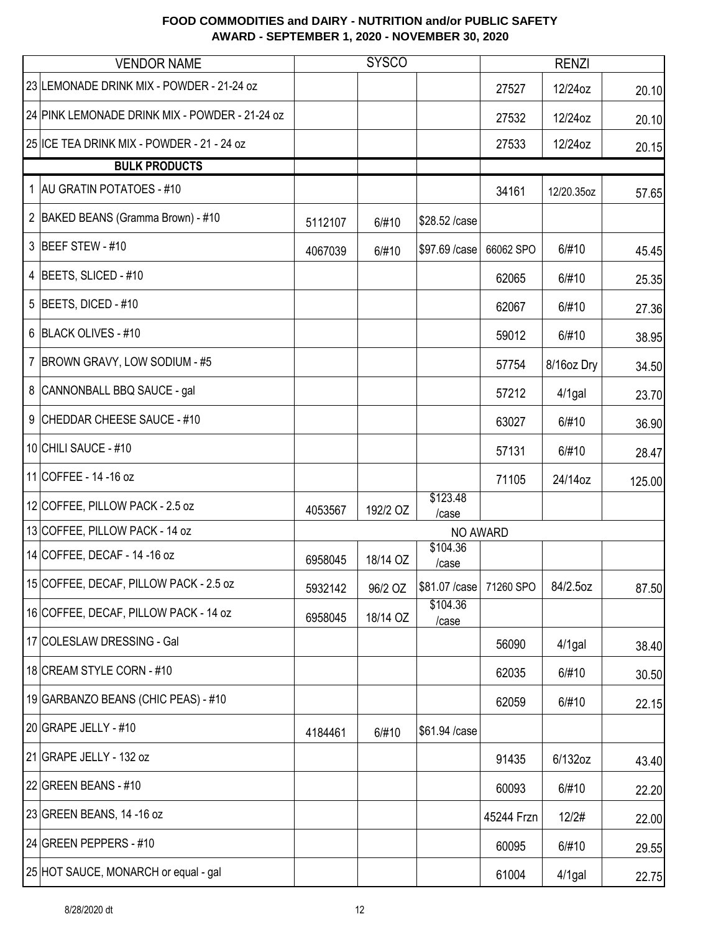|                | <b>VENDOR NAME</b>                             | <b>SYSCO</b> |          |                   | <b>RENZI</b> |            |        |
|----------------|------------------------------------------------|--------------|----------|-------------------|--------------|------------|--------|
|                | 23 LEMONADE DRINK MIX - POWDER - 21-24 oz      |              |          |                   | 27527        | 12/24oz    | 20.10  |
|                | 24 PINK LEMONADE DRINK MIX - POWDER - 21-24 oz |              |          |                   | 27532        | 12/24oz    | 20.10  |
|                | 25 ICE TEA DRINK MIX - POWDER - 21 - 24 oz     |              |          |                   | 27533        | 12/24oz    | 20.15  |
|                | <b>BULK PRODUCTS</b>                           |              |          |                   |              |            |        |
| 1              | <b>AU GRATIN POTATOES - #10</b>                |              |          |                   | 34161        | 12/20.35oz | 57.65  |
|                | 2 BAKED BEANS (Gramma Brown) - #10             | 5112107      | 6/#10    | \$28.52 /case     |              |            |        |
|                | 3 BEEF STEW - #10                              | 4067039      | 6/#10    | \$97.69 /case     | 66062 SPO    | 6/#10      | 45.45  |
|                | 4 BEETS, SLICED - #10                          |              |          |                   | 62065        | 6/#10      | 25.35  |
|                | 5 BEETS, DICED - $#10$                         |              |          |                   | 62067        | 6/#10      | 27.36  |
|                | 6 BLACK OLIVES - #10                           |              |          |                   | 59012        | 6/#10      | 38.95  |
| $\overline{7}$ | BROWN GRAVY, LOW SODIUM - #5                   |              |          |                   | 57754        | 8/16oz Dry | 34.50  |
| 8              | CANNONBALL BBQ SAUCE - gal                     |              |          |                   | 57212        | $4/1$ gal  | 23.70  |
| 9              | CHEDDAR CHEESE SAUCE - #10                     |              |          |                   | 63027        | 6/#10      | 36.90  |
|                | 10 CHILI SAUCE - #10                           |              |          |                   | 57131        | 6/#10      | 28.47  |
|                | 11 COFFEE - 14 - 16 oz                         |              |          |                   | 71105        | 24/14oz    | 125.00 |
|                | 12 COFFEE, PILLOW PACK - 2.5 oz                | 4053567      | 192/2 OZ | \$123.48<br>/case |              |            |        |
|                | 13 COFFEE, PILLOW PACK - 14 oz                 |              |          | NO AWARD          |              |            |        |
|                | 14 COFFEE, DECAF - 14 - 16 oz                  | 6958045      | 18/14 OZ | \$104.36<br>/case |              |            |        |
|                | 15 COFFEE, DECAF, PILLOW PACK - 2.5 oz         | 5932142      | 96/2 OZ  | \$81.07 / case    | 71260 SPO    | 84/2.5oz   | 87.50  |
|                | 16 COFFEE, DECAF, PILLOW PACK - 14 oz          | 6958045      | 18/14 OZ | \$104.36<br>/case |              |            |        |
|                | 17 COLESLAW DRESSING - Gal                     |              |          |                   | 56090        | $4/1$ gal  | 38.40  |
|                | 18 CREAM STYLE CORN - #10                      |              |          |                   | 62035        | 6/#10      | 30.50  |
|                | 19 GARBANZO BEANS (CHIC PEAS) - #10            |              |          |                   | 62059        | 6/#10      | 22.15  |
|                | 20 GRAPE JELLY - $\#10$                        | 4184461      | 6/#10    | \$61.94 /case     |              |            |        |
|                | 21 GRAPE JELLY - 132 oz                        |              |          |                   | 91435        | 6/132oz    | 43.40  |
|                | 22 GREEN BEANS - $#10$                         |              |          |                   | 60093        | 6/#10      | 22.20  |
|                | 23 GREEN BEANS, 14 -16 oz                      |              |          |                   | 45244 Frzn   | 12/2#      | 22.00  |
|                | 24 GREEN PEPPERS - #10                         |              |          |                   | 60095        | 6/#10      | 29.55  |
|                | 25 HOT SAUCE, MONARCH or equal - gal           |              |          |                   | 61004        | $4/1$ gal  | 22.75  |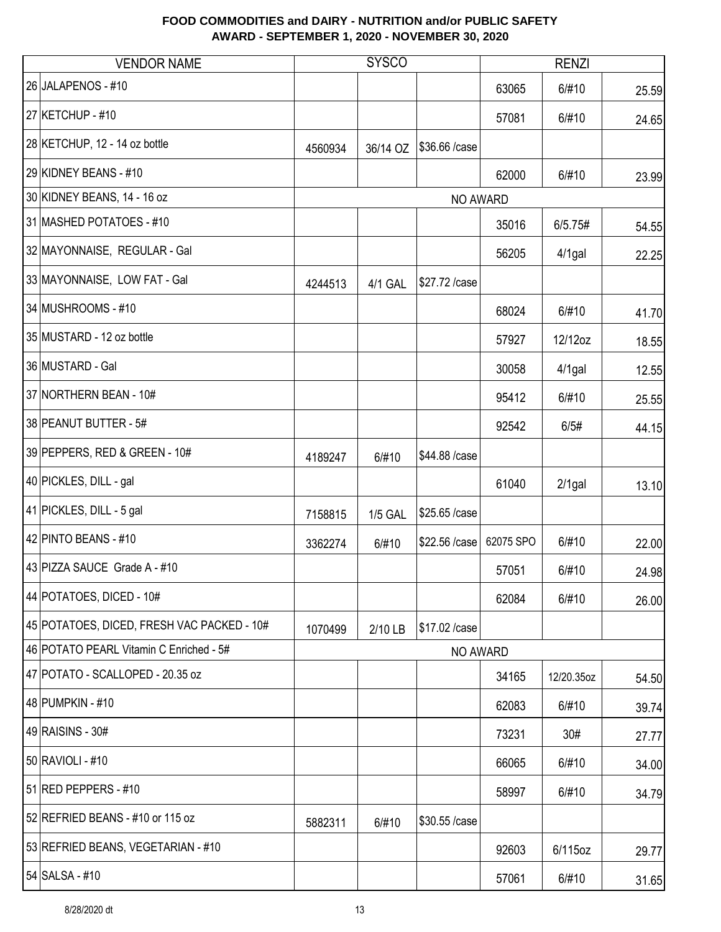| <b>VENDOR NAME</b>                         |         | <b>SYSCO</b>   |                 |           | <b>RENZI</b> |       |
|--------------------------------------------|---------|----------------|-----------------|-----------|--------------|-------|
| 26 JALAPENOS - #10                         |         |                |                 | 63065     | 6/#10        | 25.59 |
| 27 KETCHUP - #10                           |         |                |                 | 57081     | 6/#10        | 24.65 |
| 28 KETCHUP, 12 - 14 oz bottle              | 4560934 | 36/14 OZ       | \$36.66 /case   |           |              |       |
| 29 KIDNEY BEANS - #10                      |         |                |                 | 62000     | 6/#10        | 23.99 |
| 30 KIDNEY BEANS, 14 - 16 oz                |         |                | NO AWARD        |           |              |       |
| 31 MASHED POTATOES - #10                   |         |                |                 | 35016     | 6/5.75#      | 54.55 |
| 32 MAYONNAISE, REGULAR - Gal               |         |                |                 | 56205     | $4/1$ gal    | 22.25 |
| 33 MAYONNAISE, LOW FAT - Gal               | 4244513 | 4/1 GAL        | \$27.72 /case   |           |              |       |
| 34 MUSHROOMS - #10                         |         |                |                 | 68024     | 6/#10        | 41.70 |
| 35 MUSTARD - 12 oz bottle                  |         |                |                 | 57927     | 12/12oz      | 18.55 |
| 36 MUSTARD - Gal                           |         |                |                 | 30058     | $4/1$ gal    | 12.55 |
| 37 NORTHERN BEAN - 10#                     |         |                |                 | 95412     | 6/#10        | 25.55 |
| 38 PEANUT BUTTER - 5#                      |         |                |                 | 92542     | 6/5#         | 44.15 |
| 39 PEPPERS, RED & GREEN - 10#              | 4189247 | 6/#10          | \$44.88 /case   |           |              |       |
| 40 PICKLES, DILL - gal                     |         |                |                 | 61040     | $2/1$ gal    | 13.10 |
| 41 PICKLES, DILL - 5 gal                   | 7158815 | <b>1/5 GAL</b> | \$25.65 /case   |           |              |       |
| 42 PINTO BEANS - #10                       | 3362274 | 6/#10          | \$22.56 /case   | 62075 SPO | 6/#10        | 22.00 |
| 43 PIZZA SAUCE Grade A - #10               |         |                |                 | 57051     | 6/#10        | 24.98 |
| 44 POTATOES, DICED - 10#                   |         |                |                 | 62084     | 6/#10        | 26.00 |
| 45 POTATOES, DICED, FRESH VAC PACKED - 10# | 1070499 | 2/10 LB        | \$17.02 / case  |           |              |       |
| 46 POTATO PEARL Vitamin C Enriched - 5#    |         |                | <b>NO AWARD</b> |           |              |       |
| 47 POTATO - SCALLOPED - 20.35 oz           |         |                |                 | 34165     | 12/20.35oz   | 54.50 |
| 48 PUMPKIN - #10                           |         |                |                 | 62083     | 6/#10        | 39.74 |
| 49 RAISINS - 30#                           |         |                |                 | 73231     | 30#          | 27.77 |
| 50 RAVIOLI - #10                           |         |                |                 | 66065     | 6/#10        | 34.00 |
| 51 RED PEPPERS - #10                       |         |                |                 | 58997     | 6/#10        | 34.79 |
| 52 REFRIED BEANS - #10 or 115 oz           | 5882311 | 6/#10          | \$30.55 /case   |           |              |       |
| 53 REFRIED BEANS, VEGETARIAN - #10         |         |                |                 | 92603     | 6/115oz      | 29.77 |
| 54 SALSA - #10                             |         |                |                 | 57061     | 6/#10        | 31.65 |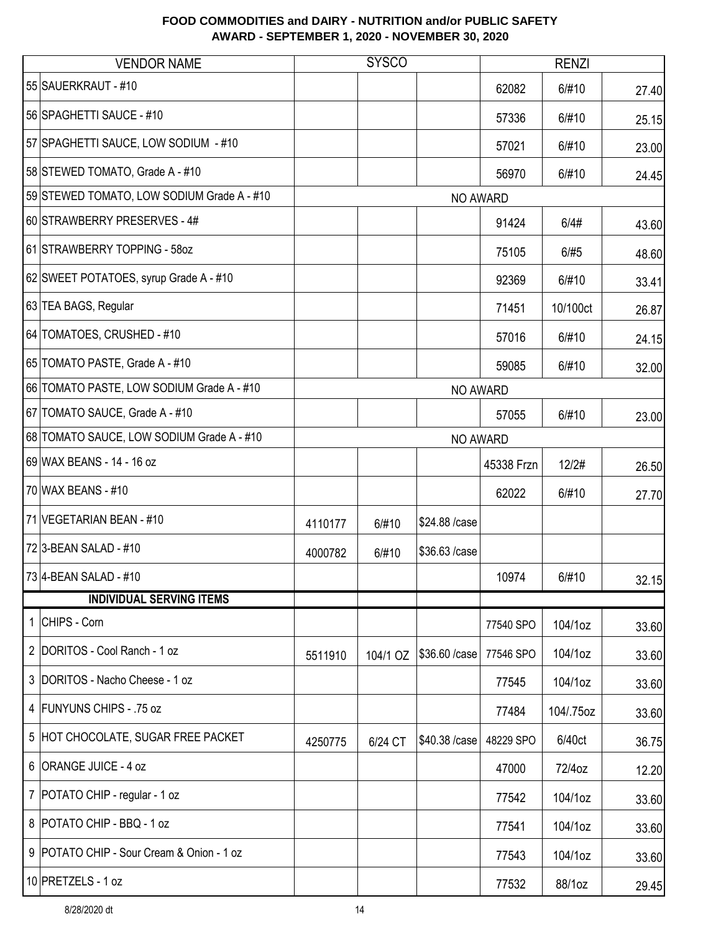| <b>VENDOR NAME</b>                         |         | <b>SYSCO</b> |                |            | <b>RENZI</b> |       |
|--------------------------------------------|---------|--------------|----------------|------------|--------------|-------|
| 55 SAUERKRAUT - #10                        |         |              |                | 62082      | 6/#10        | 27.40 |
| 56 SPAGHETTI SAUCE - #10                   |         |              |                | 57336      | 6/#10        | 25.15 |
| 57 SPAGHETTI SAUCE, LOW SODIUM - #10       |         |              |                | 57021      | 6/#10        | 23.00 |
| 58 STEWED TOMATO, Grade A - #10            |         |              |                | 56970      | 6/#10        | 24.45 |
| 59 STEWED TOMATO, LOW SODIUM Grade A - #10 |         |              | NO AWARD       |            |              |       |
| 60 STRAWBERRY PRESERVES - 4#               |         |              |                | 91424      | 6/4#         | 43.60 |
| 61 STRAWBERRY TOPPING - 58oz               |         |              |                | 75105      | 6/#5         | 48.60 |
| 62 SWEET POTATOES, syrup Grade A - #10     |         |              |                | 92369      | 6/#10        | 33.41 |
| 63 TEA BAGS, Regular                       |         |              |                | 71451      | 10/100ct     | 26.87 |
| 64 TOMATOES, CRUSHED - #10                 |         |              |                | 57016      | 6/#10        | 24.15 |
| 65 TOMATO PASTE, Grade A - #10             |         |              |                | 59085      | 6/#10        | 32.00 |
| 66 TOMATO PASTE, LOW SODIUM Grade A - #10  |         |              | NO AWARD       |            |              |       |
| 67 TOMATO SAUCE, Grade A - #10             |         |              |                | 57055      | 6/#10        | 23.00 |
| 68 TOMATO SAUCE, LOW SODIUM Grade A - #10  |         |              | NO AWARD       |            |              |       |
| 69 WAX BEANS - 14 - 16 oz                  |         |              |                | 45338 Frzn | 12/2#        | 26.50 |
| 70 WAX BEANS - #10                         |         |              |                | 62022      | 6/#10        | 27.70 |
| 71 VEGETARIAN BEAN - #10                   | 4110177 | 6/#10        | \$24.88 /case  |            |              |       |
| 72 3-BEAN SALAD - #10                      | 4000782 | 6/#10        | \$36.63 /case  |            |              |       |
| 73 4-BEAN SALAD - #10                      |         |              |                | 10974      | 6/#10        | 32.15 |
| <b>INDIVIDUAL SERVING ITEMS</b>            |         |              |                |            |              |       |
| 1 CHIPS - Corn                             |         |              |                | 77540 SPO  | 104/1oz      | 33.60 |
| 2 DORITOS - Cool Ranch - 1 oz              | 5511910 | 104/1 OZ     | \$36.60 / case | 77546 SPO  | 104/1oz      | 33.60 |
| 3 DORITOS - Nacho Cheese - 1 oz            |         |              |                | 77545      | 104/1oz      | 33.60 |
| 4 FUNYUNS CHIPS - .75 oz                   |         |              |                | 77484      | 104/.75oz    | 33.60 |
| 5 HOT CHOCOLATE, SUGAR FREE PACKET         | 4250775 | 6/24 CT      | \$40.38 / case | 48229 SPO  | 6/40ct       | 36.75 |
| 6 ORANGE JUICE - 4 oz                      |         |              |                | 47000      | 72/4oz       | 12.20 |
| 7   POTATO CHIP - regular - 1 oz           |         |              |                | 77542      | 104/1oz      | 33.60 |
| 8 POTATO CHIP - BBQ - 1 oz                 |         |              |                | 77541      | 104/1oz      | 33.60 |
| 9 POTATO CHIP - Sour Cream & Onion - 1 oz  |         |              |                | 77543      | 104/1oz      | 33.60 |
| 10 PRETZELS - 1 oz                         |         |              |                | 77532      | 88/1oz       | 29.45 |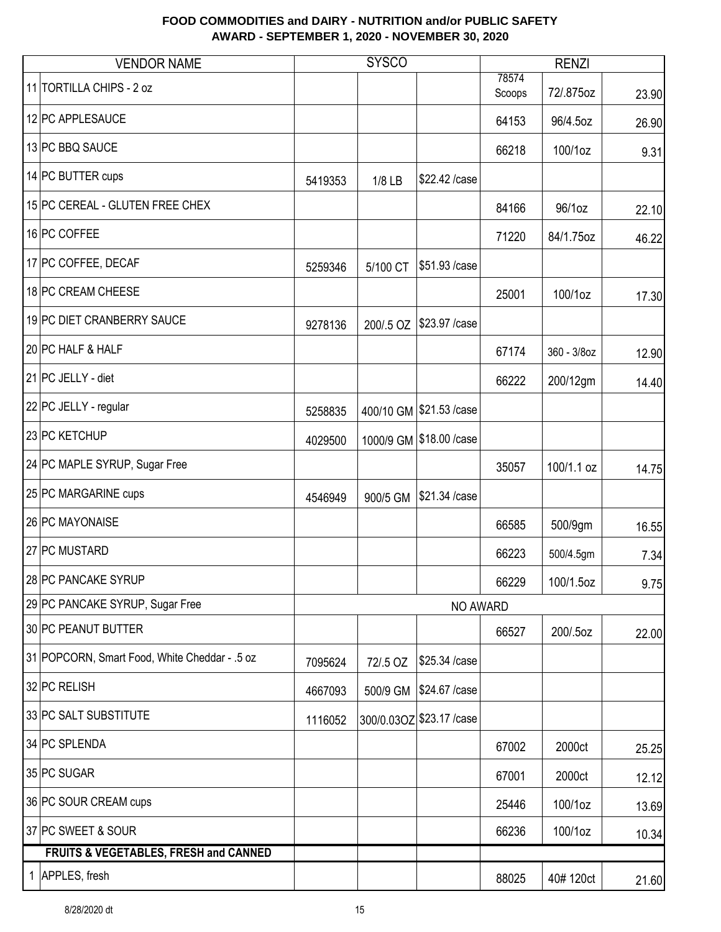| <b>VENDOR NAME</b>                               |         | <b>SYSCO</b> |                           |                 | <b>RENZI</b> |       |
|--------------------------------------------------|---------|--------------|---------------------------|-----------------|--------------|-------|
| 11 TORTILLA CHIPS - 2 oz                         |         |              |                           | 78574<br>Scoops | 72/.875oz    | 23.90 |
| 12 PC APPLESAUCE                                 |         |              |                           | 64153           | 96/4.5oz     | 26.90 |
| 13 PC BBQ SAUCE                                  |         |              |                           | 66218           | 100/1oz      | 9.31  |
| 14 PC BUTTER cups                                | 5419353 | $1/8$ LB     | \$22.42 /case             |                 |              |       |
| 15 PC CEREAL - GLUTEN FREE CHEX                  |         |              |                           | 84166           | 96/1oz       | 22.10 |
| 16 PC COFFEE                                     |         |              |                           | 71220           | 84/1.75oz    | 46.22 |
| 17 PC COFFEE, DECAF                              | 5259346 | 5/100 CT     | \$51.93 / case            |                 |              |       |
| 18 PC CREAM CHEESE                               |         |              |                           | 25001           | 100/1oz      | 17.30 |
| 19 PC DIET CRANBERRY SAUCE                       | 9278136 | 200/.5 OZ    | \$23.97 / case            |                 |              |       |
| 20 PC HALF & HALF                                |         |              |                           | 67174           | 360 - 3/8oz  | 12.90 |
| 21 PC JELLY - diet                               |         |              |                           | 66222           | 200/12gm     | 14.40 |
| 22 PC JELLY - regular                            | 5258835 |              | 400/10 GM \$21.53 /case   |                 |              |       |
| 23 PC KETCHUP                                    | 4029500 |              | 1000/9 GM \$18.00 / case  |                 |              |       |
| 24 PC MAPLE SYRUP, Sugar Free                    |         |              |                           | 35057           | 100/1.1 oz   | 14.75 |
| 25 PC MARGARINE cups                             | 4546949 | 900/5 GM     | \$21.34 /case             |                 |              |       |
| 26 PC MAYONAISE                                  |         |              |                           | 66585           | 500/9gm      | 16.55 |
| 27 PC MUSTARD                                    |         |              |                           | 66223           | 500/4.5gm    | 7.34  |
| 28 PC PANCAKE SYRUP                              |         |              |                           | 66229           | 100/1.5oz    | 9.75  |
| 29 PC PANCAKE SYRUP, Sugar Free                  |         |              | NO AWARD                  |                 |              |       |
| 30 PC PEANUT BUTTER                              |         |              |                           | 66527           | 200/.5oz     | 22.00 |
| 31 POPCORN, Smart Food, White Cheddar - .5 oz    | 7095624 | 72/.5 OZ     | \$25.34 /case             |                 |              |       |
| 32 PC RELISH                                     | 4667093 | 500/9 GM     | \$24.67 / case            |                 |              |       |
| 33 PC SALT SUBSTITUTE                            | 1116052 |              | 300/0.03OZ \$23.17 / case |                 |              |       |
| 34 PC SPLENDA                                    |         |              |                           | 67002           | 2000ct       | 25.25 |
| 35 PC SUGAR                                      |         |              |                           | 67001           | 2000ct       | 12.12 |
| 36 PC SOUR CREAM cups                            |         |              |                           | 25446           | 100/1oz      | 13.69 |
| 37 PC SWEET & SOUR                               |         |              |                           | 66236           | 100/1oz      | 10.34 |
| <b>FRUITS &amp; VEGETABLES, FRESH and CANNED</b> |         |              |                           |                 |              |       |
| 1 APPLES, fresh                                  |         |              |                           | 88025           | 40#120ct     | 21.60 |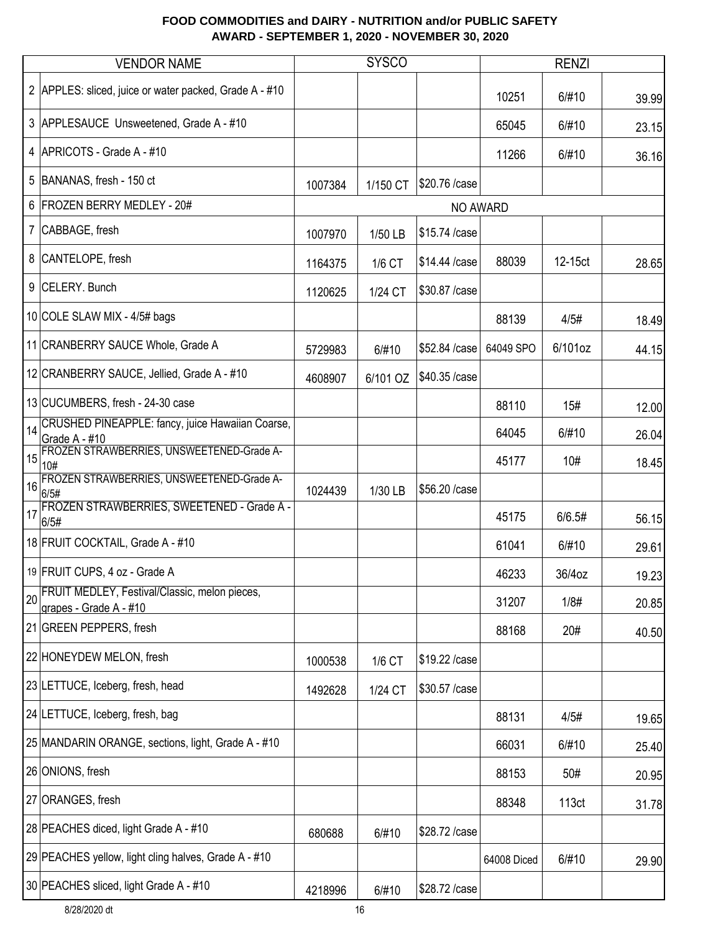|                | <b>VENDOR NAME</b>                                                      |         | <b>SYSCO</b> |                |             | <b>RENZI</b> |       |
|----------------|-------------------------------------------------------------------------|---------|--------------|----------------|-------------|--------------|-------|
|                | 2 APPLES: sliced, juice or water packed, Grade A - #10                  |         |              |                | 10251       | 6/#10        | 39.99 |
|                | 3 APPLESAUCE Unsweetened, Grade A - #10                                 |         |              |                | 65045       | 6/#10        | 23.15 |
|                | 4 APRICOTS - Grade A - #10                                              |         |              |                | 11266       | 6/#10        | 36.16 |
|                | 5 BANANAS, fresh - 150 ct                                               | 1007384 | 1/150 CT     | \$20.76 / case |             |              |       |
|                | 6 FROZEN BERRY MEDLEY - 20#                                             |         |              |                | NO AWARD    |              |       |
| 7 <sup>1</sup> | CABBAGE, fresh                                                          | 1007970 | 1/50 LB      | \$15.74 /case  |             |              |       |
|                | 8 CANTELOPE, fresh                                                      | 1164375 | 1/6 CT       | \$14.44 /case  | 88039       | 12-15ct      | 28.65 |
| 9 <sup>1</sup> | CELERY. Bunch                                                           | 1120625 | 1/24 CT      | \$30.87 /case  |             |              |       |
|                | 10 COLE SLAW MIX - 4/5# bags                                            |         |              |                | 88139       | 4/5#         | 18.49 |
|                | 11 CRANBERRY SAUCE Whole, Grade A                                       | 5729983 | 6/#10        | \$52.84 /case  | 64049 SPO   | 6/101oz      | 44.15 |
|                | 12 CRANBERRY SAUCE, Jellied, Grade A - #10                              | 4608907 | 6/101 OZ     | \$40.35 /case  |             |              |       |
|                | 13 CUCUMBERS, fresh - 24-30 case                                        |         |              |                | 88110       | 15#          | 12.00 |
| 14             | CRUSHED PINEAPPLE: fancy, juice Hawaiian Coarse,<br>Grade A - #10       |         |              |                | 64045       | 6/#10        | 26.04 |
| 15             | FROZEN STRAWBERRIES, UNSWEETENED-Grade A-<br>10#                        |         |              |                | 45177       | 10#          | 18.45 |
| 16             | FROZEN STRAWBERRIES, UNSWEETENED-Grade A-<br>6/5#                       | 1024439 | 1/30 LB      | \$56.20 /case  |             |              |       |
| 17             | FROZEN STRAWBERRIES, SWEETENED - Grade A -<br>6/5#                      |         |              |                | 45175       | 6/6.5#       | 56.15 |
|                | 18 FRUIT COCKTAIL, Grade A - #10                                        |         |              |                | 61041       | 6/#10        | 29.61 |
|                | 19 FRUIT CUPS, 4 oz - Grade A                                           |         |              |                | 46233       | 36/4oz       | 19.23 |
| 20             | FRUIT MEDLEY, Festival/Classic, melon pieces,<br>grapes - Grade A - #10 |         |              |                | 31207       | 1/8#         | 20.85 |
|                | 21 GREEN PEPPERS, fresh                                                 |         |              |                | 88168       | 20#          | 40.50 |
|                | 22 HONEYDEW MELON, fresh                                                | 1000538 | 1/6 CT       | \$19.22 /case  |             |              |       |
|                | 23 LETTUCE, Iceberg, fresh, head                                        | 1492628 | 1/24 CT      | \$30.57 /case  |             |              |       |
|                | 24 LETTUCE, Iceberg, fresh, bag                                         |         |              |                | 88131       | 4/5#         | 19.65 |
|                | 25 MANDARIN ORANGE, sections, light, Grade A - #10                      |         |              |                | 66031       | 6/#10        | 25.40 |
|                | 26 ONIONS, fresh                                                        |         |              |                | 88153       | 50#          | 20.95 |
|                | 27 ORANGES, fresh                                                       |         |              |                | 88348       | 113ct        | 31.78 |
|                | 28 PEACHES diced, light Grade A - #10                                   | 680688  | 6/#10        | \$28.72 /case  |             |              |       |
|                | 29 PEACHES yellow, light cling halves, Grade A - #10                    |         |              |                | 64008 Diced | 6/#10        | 29.90 |
|                | 30 PEACHES sliced, light Grade A - #10                                  | 4218996 | 6/#10        | \$28.72 /case  |             |              |       |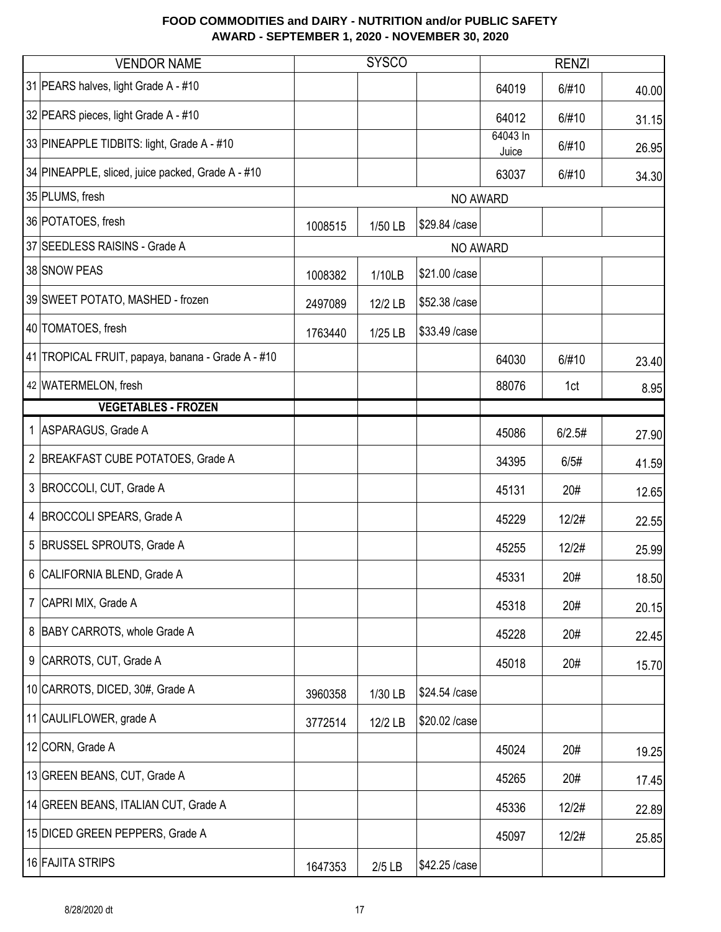| <b>VENDOR NAME</b>                                |         | <b>SYSCO</b> |                |                   | <b>RENZI</b> |       |
|---------------------------------------------------|---------|--------------|----------------|-------------------|--------------|-------|
| 31 PEARS halves, light Grade A - #10              |         |              |                | 64019             | 6/#10        | 40.00 |
| 32 PEARS pieces, light Grade A - #10              |         |              |                | 64012             | 6/#10        | 31.15 |
| 33 PINEAPPLE TIDBITS: light, Grade A - #10        |         |              |                | 64043 In<br>Juice | 6/#10        | 26.95 |
| 34 PINEAPPLE, sliced, juice packed, Grade A - #10 |         |              |                | 63037             | 6/#10        | 34.30 |
| 35 PLUMS, fresh                                   |         |              | NO AWARD       |                   |              |       |
| 36 POTATOES, fresh                                | 1008515 | 1/50 LB      | \$29.84 /case  |                   |              |       |
| 37 SEEDLESS RAISINS - Grade A                     |         |              | NO AWARD       |                   |              |       |
| 38 SNOW PEAS                                      | 1008382 | 1/10LB       | \$21.00 / case |                   |              |       |
| 39 SWEET POTATO, MASHED - frozen                  | 2497089 | 12/2 LB      | \$52.38 /case  |                   |              |       |
| 40 TOMATOES, fresh                                | 1763440 | 1/25 LB      | \$33.49 /case  |                   |              |       |
| 41 TROPICAL FRUIT, papaya, banana - Grade A - #10 |         |              |                | 64030             | 6/#10        | 23.40 |
| 42 WATERMELON, fresh                              |         |              |                | 88076             | 1ct          | 8.95  |
| <b>VEGETABLES - FROZEN</b>                        |         |              |                |                   |              |       |
| 1 ASPARAGUS, Grade A                              |         |              |                | 45086             | 6/2.5#       | 27.90 |
| 2 BREAKFAST CUBE POTATOES, Grade A                |         |              |                | 34395             | 6/5#         | 41.59 |
| 3 BROCCOLI, CUT, Grade A                          |         |              |                | 45131             | 20#          | 12.65 |
| 4 BROCCOLI SPEARS, Grade A                        |         |              |                | 45229             | 12/2#        | 22.55 |
| 5 BRUSSEL SPROUTS, Grade A                        |         |              |                | 45255             | 12/2#        | 25.99 |
| 6 CALIFORNIA BLEND, Grade A                       |         |              |                | 45331             | 20#          | 18.50 |
| 7 CAPRI MIX, Grade A                              |         |              |                | 45318             | 20#          | 20.15 |
| 8 BABY CARROTS, whole Grade A                     |         |              |                | 45228             | 20#          | 22.45 |
| 9 CARROTS, CUT, Grade A                           |         |              |                | 45018             | 20#          | 15.70 |
| 10 CARROTS, DICED, 30#, Grade A                   | 3960358 | 1/30 LB      | \$24.54 /case  |                   |              |       |
| 11 CAULIFLOWER, grade A                           | 3772514 | 12/2 LB      | \$20.02 /case  |                   |              |       |
| 12 CORN, Grade A                                  |         |              |                | 45024             | 20#          | 19.25 |
| 13 GREEN BEANS, CUT, Grade A                      |         |              |                | 45265             | 20#          | 17.45 |
| 14 GREEN BEANS, ITALIAN CUT, Grade A              |         |              |                | 45336             | 12/2#        | 22.89 |
| 15 DICED GREEN PEPPERS, Grade A                   |         |              |                | 45097             | 12/2#        | 25.85 |
| 16 FAJITA STRIPS                                  | 1647353 | $2/5$ LB     | \$42.25 /case  |                   |              |       |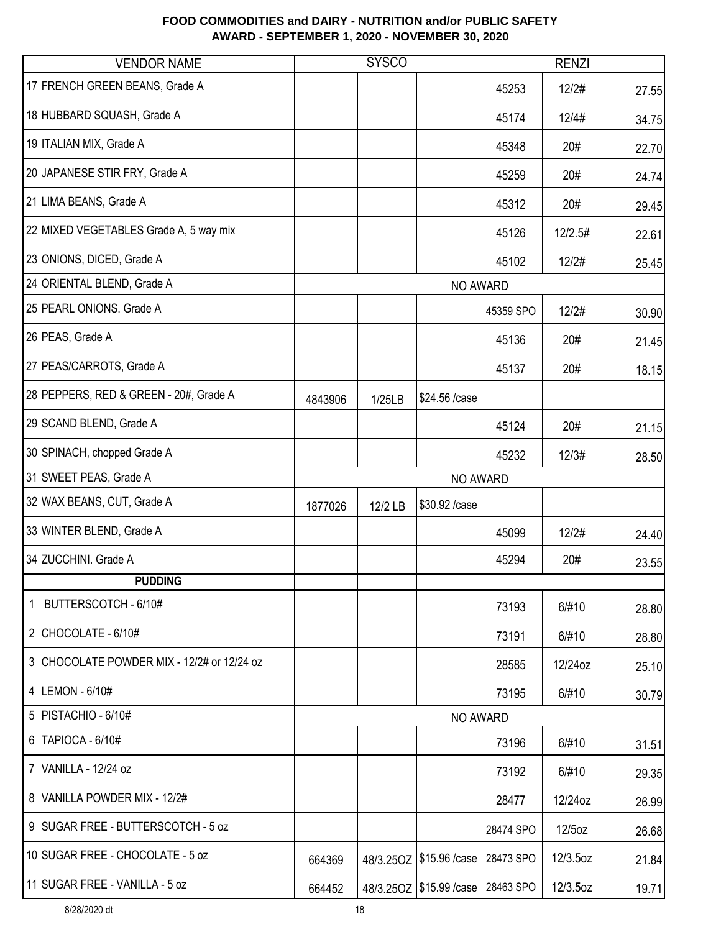|                | <b>VENDOR NAME</b>                         |         | <b>SYSCO</b> |                            |           | <b>RENZI</b> |       |
|----------------|--------------------------------------------|---------|--------------|----------------------------|-----------|--------------|-------|
|                | 17 FRENCH GREEN BEANS, Grade A             |         |              |                            | 45253     | 12/2#        | 27.55 |
|                | 18 HUBBARD SQUASH, Grade A                 |         |              |                            | 45174     | 12/4#        | 34.75 |
|                | 19 ITALIAN MIX, Grade A                    |         |              |                            | 45348     | 20#          | 22.70 |
|                | 20 JAPANESE STIR FRY, Grade A              |         |              |                            | 45259     | 20#          | 24.74 |
|                | 21 LIMA BEANS, Grade A                     |         |              |                            | 45312     | 20#          | 29.45 |
|                | 22 MIXED VEGETABLES Grade A, 5 way mix     |         |              |                            | 45126     | 12/2.5#      | 22.61 |
|                | 23 ONIONS, DICED, Grade A                  |         |              |                            | 45102     | 12/2#        | 25.45 |
|                | 24 ORIENTAL BLEND, Grade A                 |         |              | NO AWARD                   |           |              |       |
|                | 25 PEARL ONIONS. Grade A                   |         |              |                            | 45359 SPO | 12/2#        | 30.90 |
|                | 26 PEAS, Grade A                           |         |              |                            | 45136     | 20#          | 21.45 |
|                | 27 PEAS/CARROTS, Grade A                   |         |              |                            | 45137     | 20#          | 18.15 |
|                | 28 PEPPERS, RED & GREEN - 20#, Grade A     | 4843906 | 1/25LB       | \$24.56 /case              |           |              |       |
|                | 29 SCAND BLEND, Grade A                    |         |              |                            | 45124     | 20#          | 21.15 |
|                | 30 SPINACH, chopped Grade A                |         |              |                            | 45232     | 12/3#        | 28.50 |
|                | 31 SWEET PEAS, Grade A                     |         |              | <b>NO AWARD</b>            |           |              |       |
|                | 32 WAX BEANS, CUT, Grade A                 | 1877026 | 12/2 LB      | \$30.92 /case              |           |              |       |
|                | 33 WINTER BLEND, Grade A                   |         |              |                            | 45099     | 12/2#        | 24.40 |
|                | 34 ZUCCHINI. Grade A                       |         |              |                            | 45294     | 20#          | 23.55 |
|                | <b>PUDDING</b>                             |         |              |                            |           |              |       |
| 1              | BUTTERSCOTCH - 6/10#                       |         |              |                            | 73193     | 6/#10        | 28.80 |
|                | 2 CHOCOLATE - $6/10#$                      |         |              |                            | 73191     | 6/#10        | 28.80 |
|                | 3 CHOCOLATE POWDER MIX - 12/2# or 12/24 oz |         |              |                            | 28585     | 12/24oz      | 25.10 |
|                | 4   LEMON - 6/10#                          |         |              |                            | 73195     | 6/#10        | 30.79 |
| 5              | PISTACHIO - 6/10#                          |         |              | NO AWARD                   |           |              |       |
| 6              | TAPIOCA - 6/10#                            |         |              |                            | 73196     | 6/#10        | 31.51 |
| $\overline{7}$ | VANILLA - 12/24 oz                         |         |              |                            | 73192     | 6/#10        | 29.35 |
|                | 8 VANILLA POWDER MIX - 12/2#               |         |              |                            | 28477     | 12/24oz      | 26.99 |
|                | 9 SUGAR FREE - BUTTERSCOTCH - 5 oz         |         |              |                            | 28474 SPO | 12/5oz       | 26.68 |
|                | 10 SUGAR FREE - CHOCOLATE - 5 oz           | 664369  |              | 48/3.25OZ   \$15.96 / case | 28473 SPO | 12/3.5oz     | 21.84 |
|                | 11 SUGAR FREE - VANILLA - 5 oz             | 664452  |              | 48/3.25OZ   \$15.99 / case | 28463 SPO | 12/3.5oz     | 19.71 |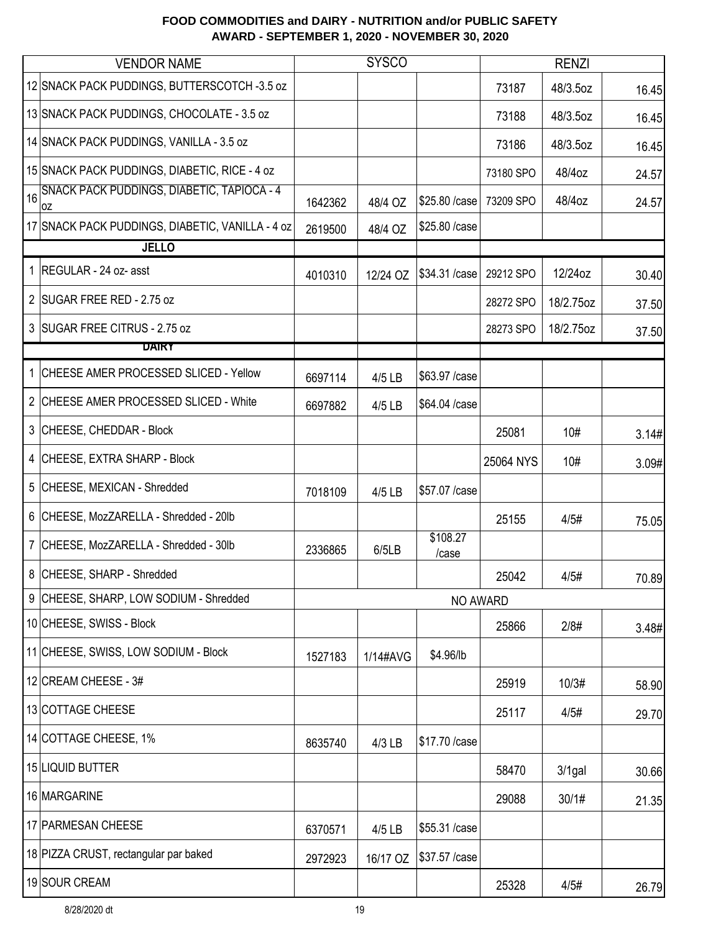|    | <b>VENDOR NAME</b>                               |         | <b>SYSCO</b> |                   |           | <b>RENZI</b> |       |
|----|--------------------------------------------------|---------|--------------|-------------------|-----------|--------------|-------|
|    | 12 SNACK PACK PUDDINGS, BUTTERSCOTCH -3.5 oz     |         |              |                   | 73187     | 48/3.5oz     | 16.45 |
|    | 13 SNACK PACK PUDDINGS, CHOCOLATE - 3.5 oz       |         |              |                   | 73188     | 48/3.5oz     | 16.45 |
|    | 14 SNACK PACK PUDDINGS, VANILLA - 3.5 oz         |         |              |                   | 73186     | 48/3.5oz     | 16.45 |
|    | 15 SNACK PACK PUDDINGS, DIABETIC, RICE - 4 oz    |         |              |                   | 73180 SPO | 48/4oz       | 24.57 |
| 16 | SNACK PACK PUDDINGS, DIABETIC, TAPIOCA - 4<br>0Z | 1642362 | 48/4 OZ      | \$25.80 / case    | 73209 SPO | 48/4oz       | 24.57 |
|    | 17 SNACK PACK PUDDINGS, DIABETIC, VANILLA - 4 oz | 2619500 | 48/4 OZ      | \$25.80 /case     |           |              |       |
|    | <b>JELLO</b>                                     |         |              |                   |           |              |       |
|    | 1 REGULAR - 24 oz- asst                          | 4010310 | 12/24 OZ     | \$34.31 / case    | 29212 SPO | 12/24oz      | 30.40 |
|    | 2 SUGAR FREE RED - 2.75 oz                       |         |              |                   | 28272 SPO | 18/2.75oz    | 37.50 |
|    | 3 SUGAR FREE CITRUS - 2.75 oz                    |         |              |                   | 28273 SPO | 18/2.75oz    | 37.50 |
|    | DAIRY                                            |         |              |                   |           |              |       |
|    | 1 CHEESE AMER PROCESSED SLICED - Yellow          | 6697114 | 4/5 LB       | \$63.97 / case    |           |              |       |
|    | 2 CHEESE AMER PROCESSED SLICED - White           | 6697882 | 4/5 LB       | \$64.04 /case     |           |              |       |
|    | 3 CHEESE, CHEDDAR - Block                        |         |              |                   | 25081     | 10#          | 3.14# |
|    | 4 CHEESE, EXTRA SHARP - Block                    |         |              |                   | 25064 NYS | 10#          | 3.09# |
|    | 5 CHEESE, MEXICAN - Shredded                     | 7018109 | 4/5 LB       | \$57.07 /case     |           |              |       |
|    | 6 CHEESE, MozZARELLA - Shredded - 20lb           |         |              |                   | 25155     | 4/5#         | 75.05 |
|    | 7 CHEESE, MozZARELLA - Shredded - 30lb           | 2336865 | 6/5LB        | \$108.27<br>/case |           |              |       |
|    | 8 CHEESE, SHARP - Shredded                       |         |              |                   | 25042     | 4/5#         | 70.89 |
|    | 9 CHEESE, SHARP, LOW SODIUM - Shredded           |         |              | NO AWARD          |           |              |       |
|    | 10 CHEESE, SWISS - Block                         |         |              |                   | 25866     | 2/8#         | 3.48# |
|    | 11 CHEESE, SWISS, LOW SODIUM - Block             | 1527183 | 1/14#AVG     | \$4.96/lb         |           |              |       |
|    | 12 CREAM CHEESE - 3#                             |         |              |                   | 25919     | 10/3#        | 58.90 |
|    | 13 COTTAGE CHEESE                                |         |              |                   | 25117     | 4/5#         | 29.70 |
|    | 14 COTTAGE CHEESE, 1%                            | 8635740 | 4/3 LB       | \$17.70 / case    |           |              |       |
|    | 15 LIQUID BUTTER                                 |         |              |                   | 58470     | $3/1$ gal    | 30.66 |
|    | 16 MARGARINE                                     |         |              |                   | 29088     | 30/1#        | 21.35 |
|    | 17 PARMESAN CHEESE                               | 6370571 | 4/5 LB       | \$55.31 /case     |           |              |       |
|    | 18 PIZZA CRUST, rectangular par baked            | 2972923 | 16/17 OZ     | \$37.57 / case    |           |              |       |
|    | 19 SOUR CREAM                                    |         |              |                   | 25328     | 4/5#         | 26.79 |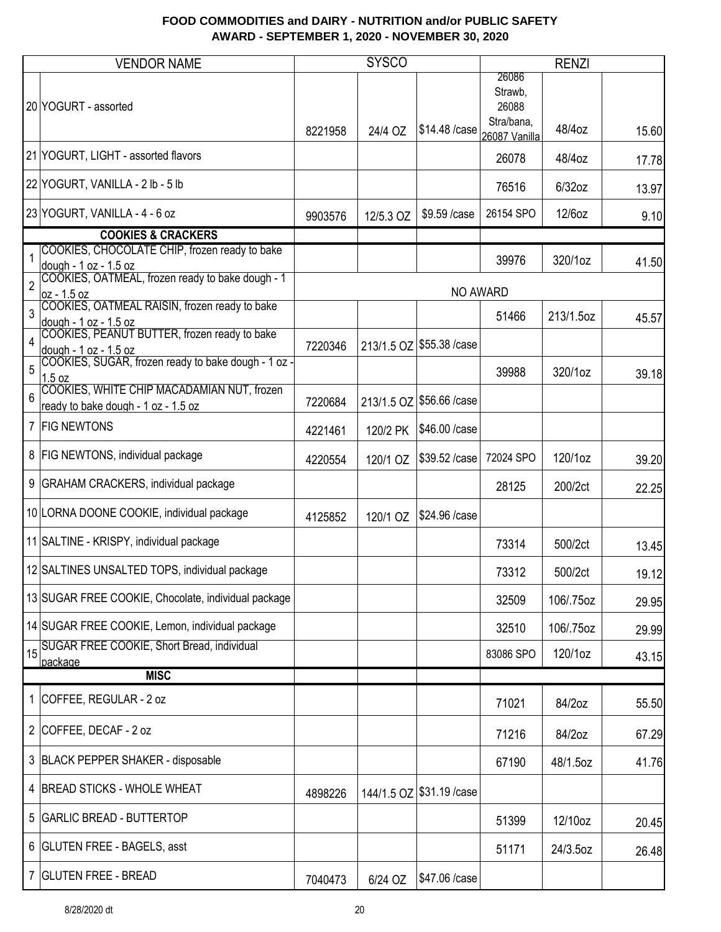|                | <b>VENDOR NAME</b>                                                                                                                        |         | <b>SYSCO</b> |                             |                                                          | <b>RENZI</b> |       |
|----------------|-------------------------------------------------------------------------------------------------------------------------------------------|---------|--------------|-----------------------------|----------------------------------------------------------|--------------|-------|
|                | 20 YOGURT - assorted                                                                                                                      | 8221958 | 24/4 OZ      | \$14.48 /case               | 26086<br>Strawb,<br>26088<br>Stra/bana,<br>26087 Vanilla | 48/4oz       | 15.60 |
|                | 21 YOGURT, LIGHT - assorted flavors                                                                                                       |         |              |                             | 26078                                                    | 48/4oz       | 17.78 |
|                | 22 YOGURT, VANILLA - 2 lb - 5 lb                                                                                                          |         |              |                             | 76516                                                    | 6/32oz       | 13.97 |
|                | 23 YOGURT, VANILLA - 4 - 6 oz                                                                                                             | 9903576 | 12/5.3 OZ    | \$9.59 / case               | 26154 SPO                                                | 12/6oz       | 9.10  |
|                | <b>COOKIES &amp; CRACKERS</b>                                                                                                             |         |              |                             |                                                          |              |       |
| $\overline{2}$ | COOKIES, CHOCOLATE CHIP, frozen ready to bake<br>dough - 1 oz - 1.5 oz<br>COOKIES, OATMEAL, frozen ready to bake dough - 1<br>oz - 1.5 oz |         |              | <b>NO AWARD</b>             | 39976                                                    | 320/1oz      | 41.50 |
| 3              | COOKIES, OATMEAL RAISIN, frozen ready to bake<br>dough - 1 oz - 1.5 oz                                                                    |         |              |                             | 51466                                                    | 213/1.5oz    | 45.57 |
| $\overline{4}$ | COOKIES, PEANUT BUTTER, frozen ready to bake<br>dough - 1 oz - 1.5 oz                                                                     | 7220346 |              | 213/1.5 OZ \$55.38 / case   |                                                          |              |       |
| 5              | COOKIES, SUGAR, frozen ready to bake dough - 1 oz -<br>1.5 oz                                                                             |         |              |                             | 39988                                                    | 320/1oz      | 39.18 |
| 6              | COOKIES, WHITE CHIP MACADAMIAN NUT, frozen<br>ready to bake dough - 1 oz - 1.5 oz                                                         | 7220684 |              | 213/1.5 OZ \$56.66 / case   |                                                          |              |       |
|                | 7 FIG NEWTONS                                                                                                                             | 4221461 | 120/2 PK     | \$46.00 / case              |                                                          |              |       |
|                | 8   FIG NEWTONS, individual package                                                                                                       | 4220554 | 120/1 OZ     | \$39.52 /case               | 72024 SPO                                                | 120/1oz      | 39.20 |
|                | 9 GRAHAM CRACKERS, individual package                                                                                                     |         |              |                             | 28125                                                    | 200/2ct      | 22.25 |
|                | 10 LORNA DOONE COOKIE, individual package                                                                                                 | 4125852 | 120/1 OZ     | \$24.96 /case               |                                                          |              |       |
|                | 11 SALTINE - KRISPY, individual package                                                                                                   |         |              |                             | 73314                                                    | 500/2ct      | 13.45 |
|                | 12 SALTINES UNSALTED TOPS, individual package                                                                                             |         |              |                             | 73312                                                    | 500/2ct      | 19.12 |
|                | 13 SUGAR FREE COOKIE, Chocolate, individual package                                                                                       |         |              |                             | 32509                                                    | 106/.75oz    | 29.95 |
|                | 14 SUGAR FREE COOKIE, Lemon, individual package                                                                                           |         |              |                             | 32510                                                    | 106/.75oz    | 29.99 |
| 15             | SUGAR FREE COOKIE, Short Bread, individual<br>package                                                                                     |         |              |                             | 83086 SPO                                                | 120/1oz      | 43.15 |
|                | <b>MISC</b>                                                                                                                               |         |              |                             |                                                          |              |       |
|                | 1 COFFEE, REGULAR - 2 oz                                                                                                                  |         |              |                             | 71021                                                    | 84/2oz       | 55.50 |
|                | 2 COFFEE, DECAF - 2 oz                                                                                                                    |         |              |                             | 71216                                                    | 84/2oz       | 67.29 |
|                | 3 BLACK PEPPER SHAKER - disposable                                                                                                        |         |              |                             | 67190                                                    | 48/1.5oz     | 41.76 |
|                | 4 BREAD STICKS - WHOLE WHEAT                                                                                                              | 4898226 |              | 144/1.5 OZ   \$31.19 / case |                                                          |              |       |
|                | 5   GARLIC BREAD - BUTTERTOP                                                                                                              |         |              |                             | 51399                                                    | 12/10oz      | 20.45 |
|                | 6 GLUTEN FREE - BAGELS, asst                                                                                                              |         |              |                             | 51171                                                    | 24/3.5oz     | 26.48 |
|                | 7 GLUTEN FREE - BREAD                                                                                                                     | 7040473 | 6/24 OZ      | \$47.06 /case               |                                                          |              |       |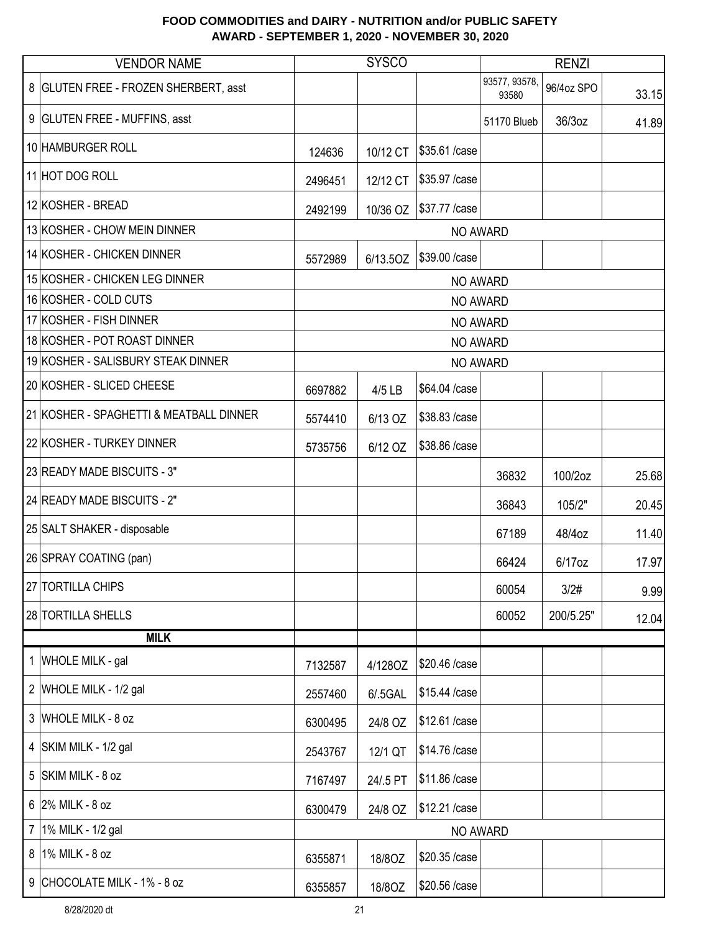|                | <b>VENDOR NAME</b>                      |         | <b>SYSCO</b> |                 |                        | <b>RENZI</b> |       |
|----------------|-----------------------------------------|---------|--------------|-----------------|------------------------|--------------|-------|
|                | 8 GLUTEN FREE - FROZEN SHERBERT, asst   |         |              |                 | 93577, 93578,<br>93580 | 96/4oz SPO   | 33.15 |
|                | 9 GLUTEN FREE - MUFFINS, asst           |         |              |                 | 51170 Blueb            | 36/3oz       | 41.89 |
|                | 10 HAMBURGER ROLL                       | 124636  | 10/12 CT     | \$35.61 /case   |                        |              |       |
|                | 11 HOT DOG ROLL                         | 2496451 | 12/12 CT     | \$35.97 / case  |                        |              |       |
|                | 12 KOSHER - BREAD                       | 2492199 | 10/36 OZ     | \$37.77 / case  |                        |              |       |
|                | 13 KOSHER - CHOW MEIN DINNER            |         |              | NO AWARD        |                        |              |       |
|                | 14 KOSHER - CHICKEN DINNER              | 5572989 | 6/13.5OZ     | \$39.00 / case  |                        |              |       |
|                | 15 KOSHER - CHICKEN LEG DINNER          |         |              | NO AWARD        |                        |              |       |
|                | 16 KOSHER - COLD CUTS                   |         |              |                 | NO AWARD               |              |       |
|                | 17 KOSHER - FISH DINNER                 |         |              | NO AWARD        |                        |              |       |
|                | 18 KOSHER - POT ROAST DINNER            |         |              | <b>NO AWARD</b> |                        |              |       |
|                | 19 KOSHER - SALISBURY STEAK DINNER      |         |              |                 | NO AWARD               |              |       |
|                | 20 KOSHER - SLICED CHEESE               | 6697882 | 4/5 LB       | \$64.04 /case   |                        |              |       |
|                | 21 KOSHER - SPAGHETTI & MEATBALL DINNER | 5574410 | 6/13 OZ      | \$38.83 /case   |                        |              |       |
|                | 22 KOSHER - TURKEY DINNER               | 5735756 | 6/12 OZ      | \$38.86 /case   |                        |              |       |
|                | 23 READY MADE BISCUITS - 3"             |         |              |                 | 36832                  | 100/2oz      | 25.68 |
|                | 24 READY MADE BISCUITS - 2"             |         |              |                 | 36843                  | 105/2"       | 20.45 |
|                | 25 SALT SHAKER - disposable             |         |              |                 | 67189                  | 48/4oz       | 11.40 |
|                | 26 SPRAY COATING (pan)                  |         |              |                 | 66424                  | 6/17oz       | 17.97 |
|                | 27 TORTILLA CHIPS                       |         |              |                 | 60054                  | 3/2#         | 9.99  |
|                | 28 TORTILLA SHELLS                      |         |              |                 | 60052                  | 200/5.25"    | 12.04 |
|                | <b>MILK</b>                             |         |              |                 |                        |              |       |
|                | 1 WHOLE MILK - gal                      | 7132587 | 4/128OZ      | \$20.46 /case   |                        |              |       |
|                | 2 WHOLE MILK - 1/2 gal                  | 2557460 | 6/.5GAL      | \$15.44 /case   |                        |              |       |
|                | 3 WHOLE MILK - 8 oz                     | 6300495 | 24/8 OZ      | \$12.61 /case   |                        |              |       |
|                | 4 SKIM MILK - 1/2 gal                   | 2543767 | 12/1 QT      | \$14.76 / case  |                        |              |       |
| 5              | SKIM MILK - 8 oz                        | 7167497 | 24/.5 PT     | \$11.86 /case   |                        |              |       |
|                | $6$ 2% MILK - 8 oz                      | 6300479 | 24/8 OZ      | \$12.21 / case  |                        |              |       |
| $\overline{7}$ | 1% MILK - 1/2 gal                       |         |              |                 | NO AWARD               |              |       |
| 8              | 1% MILK - 8 oz                          | 6355871 | 18/80Z       | \$20.35 /case   |                        |              |       |
|                | 9 CHOCOLATE MILK - 1% - 8 oz            | 6355857 | 18/80Z       | \$20.56 /case   |                        |              |       |